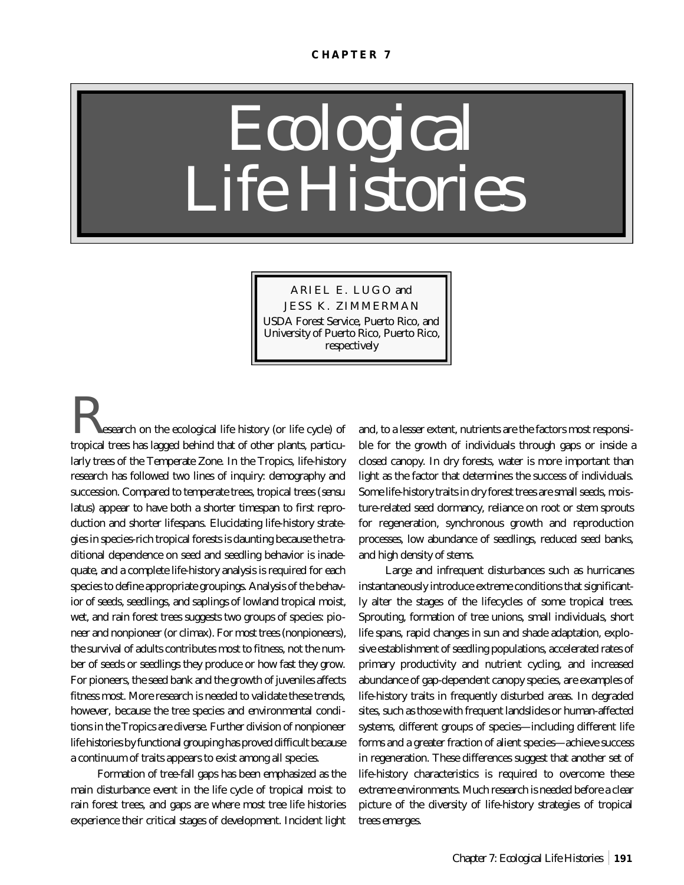# *Ecological Life Histories*

ARIEL E. LUGO and JESS K. ZIMMERMAN USDA Forest Service, Puerto Rico, and University of Puerto Rico, Puerto Rico, respectively

search on the ecological life history (or life cycle) of tropical trees has lagged behind that of other plants, particularly trees of the Temperate Zone. In the Tropics, life-history research has followed two lines of inquiry: demography and succession. Compared to temperate trees, tropical trees (*sensu latus*) appear to have both a shorter timespan to first reproduction and shorter lifespans. Elucidating life-history strategies in species-rich tropical forests is daunting because the traditional dependence on seed and seedling behavior is inadequate, and a complete life-history analysis is required for each species to define appropriate groupings. Analysis of the behavior of seeds, seedlings, and saplings of lowland tropical moist, wet, and rain forest trees suggests two groups of species: pioneer and nonpioneer (or climax). For most trees (nonpioneers), the survival of adults contributes most to fitness, not the number of seeds or seedlings they produce or how fast they grow. For pioneers, the seed bank and the growth of juveniles affects fitness most. More research is needed to validate these trends, however, because the tree species and environmental conditions in the Tropics are diverse. Further division of nonpioneer life histories by functional grouping has proved difficult because a continuum of traits appears to exist among all species.

Formation of tree-fall gaps has been emphasized as the main disturbance event in the life cycle of tropical moist to rain forest trees, and gaps are where most tree life histories experience their critical stages of development. Incident light and, to a lesser extent, nutrients are the factors most responsible for the growth of individuals through gaps or inside a closed canopy. In dry forests, water is more important than light as the factor that determines the success of individuals. Some life-history traits in dry forest trees are small seeds, moisture-related seed dormancy, reliance on root or stem sprouts for regeneration, synchronous growth and reproduction processes, low abundance of seedlings, reduced seed banks, and high density of stems.

Large and infrequent disturbances such as hurricanes instantaneously introduce extreme conditions that significantly alter the stages of the lifecycles of some tropical trees. Sprouting, formation of tree unions, small individuals, short life spans, rapid changes in sun and shade adaptation, explosive establishment of seedling populations, accelerated rates of primary productivity and nutrient cycling, and increased abundance of gap-dependent canopy species, are examples of life-history traits in frequently disturbed areas. In degraded sites, such as those with frequent landslides or human-affected systems, different groups of species—including different life forms and a greater fraction of alient species—achieve success in regeneration. These differences suggest that another set of life-history characteristics is required to overcome these extreme environments. Much research is needed before a clear picture of the diversity of life-history strategies of tropical trees emerges.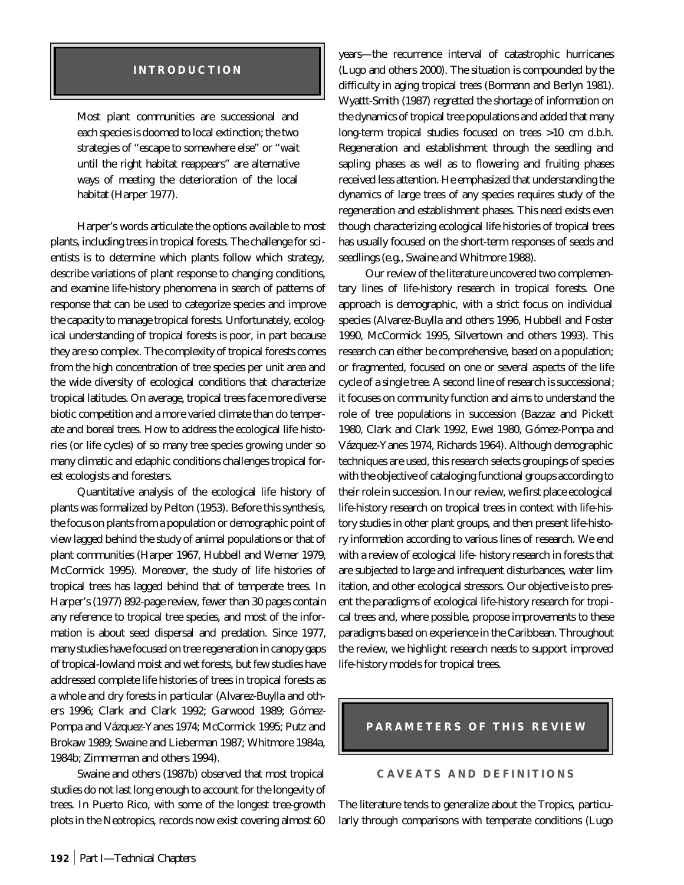## **INTRODUCTION**

Most plant communities are successional and each species is doomed to local extinction; the two strategies of "escape to somewhere else" or "wait until the right habitat reappears" are alternative ways of meeting the deterioration of the local habitat (Harper 1977).

Harper's words articulate the options available to most plants, including trees in tropical forests. The challenge for scientists is to determine which plants follow which strategy, describe variations of plant response to changing conditions, and examine life-history phenomena in search of patterns of response that can be used to categorize species and improve the capacity to manage tropical forests. Unfortunately, ecological understanding of tropical forests is poor, in part because they are so complex. The complexity of tropical forests comes from the high concentration of tree species per unit area and the wide diversity of ecological conditions that characterize tropical latitudes. On average, tropical trees face more diverse biotic competition and a more varied climate than do temperate and boreal trees. How to address the ecological life histories (or life cycles) of so many tree species growing under so many climatic and edaphic conditions challenges tropical forest ecologists and foresters.

Quantitative analysis of the ecological life history of plants was formalized by Pelton (1953). Before this synthesis, the focus on plants from a population or demographic point of view lagged behind the study of animal populations or that of plant communities (Harper 1967, Hubbell and Werner 1979, McCormick 1995). Moreover, the study of life histories of tropical trees has lagged behind that of temperate trees. In Harper's (1977) 892-page review, fewer than 30 pages contain any reference to tropical tree species, and most of the information is about seed dispersal and predation. Since 1977, many studies have focused on tree regeneration in canopy gaps of tropical-lowland moist and wet forests, but few studies have addressed complete life histories of trees in tropical forests as a whole and dry forests in particular (Alvarez-Buylla and others 1996; Clark and Clark 1992; Garwood 1989; Gómez-Pompa and Vázquez-Yanes 1974; McCormick 1995; Putz and Brokaw 1989; Swaine and Lieberman 1987; Whitmore 1984a, 1984b; Zimmerman and others 1994).

Swaine and others (1987b) observed that most tropical studies do not last long enough to account for the longevity of trees. In Puerto Rico, with some of the longest tree-growth plots in the Neotropics, records now exist covering almost 60

years—the recurrence interval of catastrophic hurricanes (Lugo and others 2000). The situation is compounded by the difficulty in aging tropical trees (Bormann and Berlyn 1981). Wyattt-Smith (1987) regretted the shortage of information on the dynamics of tropical tree populations and added that many long-term tropical studies focused on trees >10 cm d.b.h. Regeneration and establishment through the seedling and sapling phases as well as to flowering and fruiting phases received less attention. He emphasized that understanding the dynamics of large trees of any species requires study of the regeneration and establishment phases. This need exists even though characterizing ecological life histories of tropical trees has usually focused on the short-term responses of seeds and seedlings (e.g., Swaine and Whitmore 1988).

Our review of the literature uncovered two complementary lines of life-history research in tropical forests. One approach is demographic, with a strict focus on individual species (Alvarez-Buylla and others 1996, Hubbell and Foster 1990, McCormick 1995, Silvertown and others 1993). This research can either be comprehensive, based on a population; or fragmented, focused on one or several aspects of the life cycle of a single tree. A second line of research is successional; it focuses on community function and aims to understand the role of tree populations in succession (Bazzaz and Pickett 1980, Clark and Clark 1992, Ewel 1980, Gómez-Pompa and Vázquez-Yanes 1974, Richards 1964). Although demographic techniques are used, this research selects groupings of species with the objective of cataloging functional groups according to their role in succession. In our review, we first place ecological life-history research on tropical trees in context with life-history studies in other plant groups, and then present life-history information according to various lines of research. We end with a review of ecological life- history research in forests that are subjected to large and infrequent disturbances, water limitation, and other ecological stressors. Our objective is to present the paradigms of ecological life-history research for tropical trees and, where possible, propose improvements to these paradigms based on experience in the Caribbean. Throughout the review, we highlight research needs to support improved life-history models for tropical trees.

## **PARAMETERS OF THIS REVIEW**

## **CAVEATS AND DEFINITIONS**

The literature tends to generalize about the Tropics, particularly through comparisons with temperate conditions (Lugo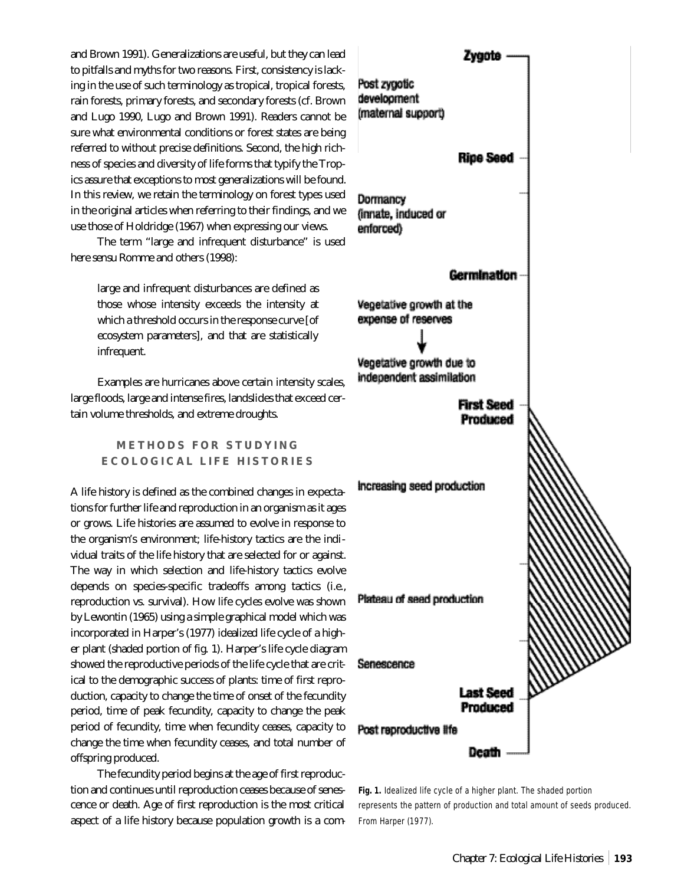and Brown 1991). Generalizations are useful, but they can lead to pitfalls and myths for two reasons. First, consistency is lacking in the use of such terminology as tropical, tropical forests, rain forests, primary forests, and secondary forests (cf. Brown and Lugo 1990, Lugo and Brown 1991). Readers cannot be sure what environmental conditions or forest states are being referred to without precise definitions. Second, the high richness of species and diversity of life forms that typify the Tropics assure that exceptions to most generalizations will be found. In this review, we retain the terminology on forest types used in the original articles when referring to their findings, and we use those of Holdridge (1967) when expressing our views.

The term "large and infrequent disturbance" is used here *sensu* Romme and others (1998):

large and infrequent disturbances are defined as those whose intensity exceeds the intensity at which a threshold occurs in the response curve [of ecosystem parameters], and that are statistically infrequent.

Examples are hurricanes above certain intensity scales, large floods, large and intense fires, landslides that exceed certain volume thresholds, and extreme droughts.

> **METHODS FOR STUDYING ECOLOGICAL LIFE HISTORIES**

A life history is defined as the combined changes in expectations for further life and reproduction in an organism as it ages or grows. Life histories are assumed to evolve in response to the organism's environment; life-history tactics are the individual traits of the life history that are selected for or against. The way in which selection and life-history tactics evolve depends on species-specific tradeoffs among tactics (i.e., reproduction vs. survival). How life cycles evolve was shown by Lewontin (1965) using a simple graphical model which was incorporated in Harper's (1977) idealized life cycle of a higher plant (shaded portion of fig. 1). Harper's life cycle diagram showed the reproductive periods of the life cycle that are critical to the demographic success of plants: time of first reproduction, capacity to change the time of onset of the fecundity period, time of peak fecundity, capacity to change the peak period of fecundity, time when fecundity ceases, capacity to change the time when fecundity ceases, and total number of offspring produced.

The fecundity period begins at the age of first reproduction and continues until reproduction ceases because of senescence or death. Age of first reproduction is the most critical aspect of a life history because population growth is a com-



**Fig. 1.** Idealized life cycle of a higher plant. The shaded portion represents the pattern of production and total amount of seeds produced. From Harper (1977).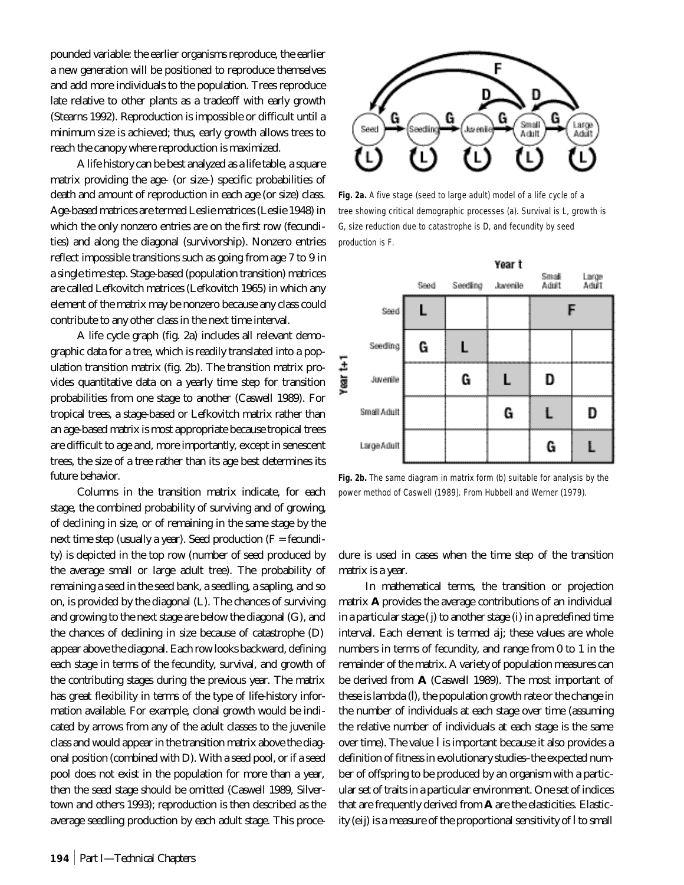pounded variable: the earlier organisms reproduce, the earlier a new generation will be positioned to reproduce themselves and add more individuals to the population. Trees reproduce late relative to other plants as a tradeoff with early growth (Stearns 1992). Reproduction is impossible or difficult until a minimum size is achieved; thus, early growth allows trees to reach the canopy where reproduction is maximized.

A life history can be best analyzed as a life table, a square matrix providing the age- (or size-) specific probabilities of death and amount of reproduction in each age (or size) class. Age-based matrices are termed Leslie matrices (Leslie 1948) in which the only nonzero entries are on the first row (fecundities) and along the diagonal (survivorship). Nonzero entries reflect impossible transitions such as going from age 7 to 9 in a single time step. Stage-based (population transition) matrices are called Lefkovitch matrices (Lefkovitch 1965) in which any element of the matrix may be nonzero because any class could contribute to any other class in the next time interval.

A life cycle graph (fig. 2a) includes all relevant demographic data for a tree, which is readily translated into a population transition matrix (fig. 2b). The transition matrix provides quantitative data on a yearly time step for transition probabilities from one stage to another (Caswell 1989). For tropical trees, a stage-based or Lefkovitch matrix rather than an age-based matrix is most appropriate because tropical trees are difficult to age and, more importantly, except in senescent trees, the size of a tree rather than its age best determines its future behavior.

Columns in the transition matrix indicate, for each stage, the combined probability of surviving and of growing, of declining in size, or of remaining in the same stage by the next time step (usually a year). Seed production (F = fecundity) is depicted in the top row (number of seed produced by the average small or large adult tree). The probability of remaining a seed in the seed bank, a seedling, a sapling, and so on, is provided by the diagonal (L). The chances of surviving and growing to the next stage are below the diagonal (G), and the chances of declining in size because of catastrophe (D) appear above the diagonal. Each row looks backward, defining each stage in terms of the fecundity, survival, and growth of the contributing stages during the previous year. The matrix has great flexibility in terms of the type of life-history information available. For example, clonal growth would be indicated by arrows from any of the adult classes to the juvenile class and would appear in the transition matrix above the diagonal position (combined with D). With a seed pool, or if a seed pool does not exist in the population for more than a year, then the seed stage should be omitted (Caswell 1989, Silvertown and others 1993); reproduction is then described as the average seedling production by each adult stage. This proce-



**Fig. 2a.** A five stage (seed to large adult) model of a life cycle of a tree showing critical demographic processes (a). Survival is L, growth is G, size reduction due to catastrophe is D, and fecundity by seed production is F.



**Fig. 2b.** The same diagram in matrix form (b) suitable for analysis by the power method of Caswell (1989). From Hubbell and Werner (1979).

dure is used in cases when the time step of the transition matrix is a year.

In mathematical terms, the transition or projection matrix **A** provides the average contributions of an individual in a particular stage (*j*) to another stage (*i*) in a predefined time interval. Each element is termed a*ij*; these values are whole numbers in terms of fecundity, and range from 0 to 1 in the remainder of the matrix. A variety of population measures can be derived from **A** (Caswell 1989). The most important of these is lambda (l), the population growth rate or the change in the number of individuals at each stage over time (assuming the relative number of individuals at each stage is the same over time). The value l is important because it also provides a definition of fitness in evolutionary studies–the expected number of offspring to be produced by an organism with a particular set of traits in a particular environment. One set of indices that are frequently derived from **A** are the elasticities. Elasticity (e*ij*) is a measure of the proportional sensitivity of l to small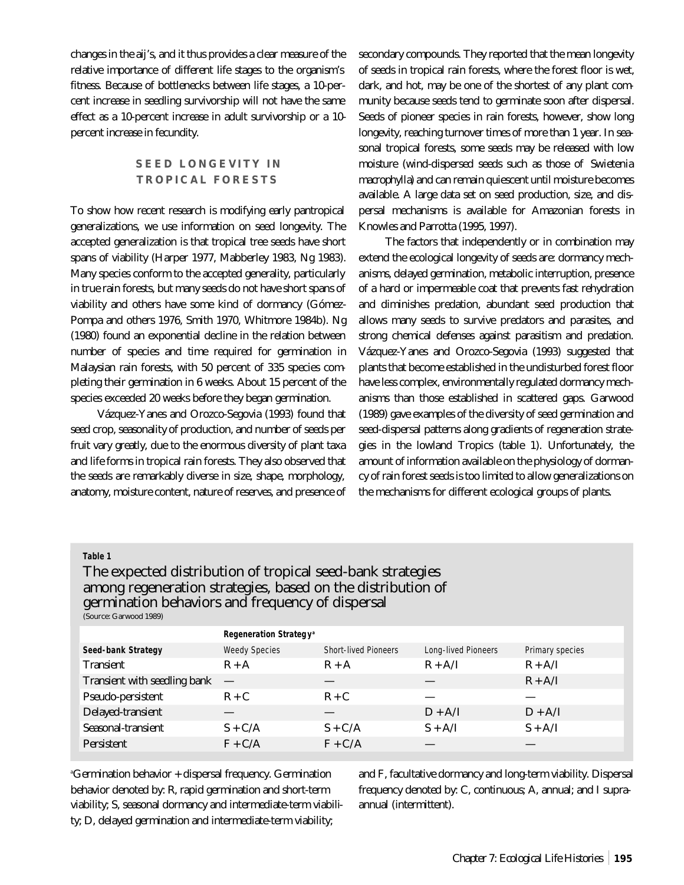changes in the a*ij*'s, and it thus provides a clear measure of the relative importance of different life stages to the organism's fitness. Because of bottlenecks between life stages, a 10-percent increase in seedling survivorship will not have the same effect as a 10-percent increase in adult survivorship or a 10 percent increase in fecundity.

# **SEED LONGEVITY IN TROPICAL FORESTS**

To show how recent research is modifying early pantropical generalizations, we use information on seed longevity. The accepted generalization is that tropical tree seeds have short spans of viability (Harper 1977, Mabberley 1983, Ng 1983). Many species conform to the accepted generality, particularly in true rain forests, but many seeds do not have short spans of viability and others have some kind of dormancy (Gómez-Pompa and others 1976, Smith 1970, Whitmore 1984b). Ng (1980) found an exponential decline in the relation between number of species and time required for germination in Malaysian rain forests, with 50 percent of 335 species completing their germination in 6 weeks. About 15 percent of the species exceeded 20 weeks before they began germination.

Vázquez-Yanes and Orozco-Segovia (1993) found that seed crop, seasonality of production, and number of seeds per fruit vary greatly, due to the enormous diversity of plant taxa and life forms in tropical rain forests. They also observed that the seeds are remarkably diverse in size, shape, morphology, anatomy, moisture content, nature of reserves, and presence of secondary compounds. They reported that the mean longevity of seeds in tropical rain forests, where the forest floor is wet, dark, and hot, may be one of the shortest of any plant community because seeds tend to germinate soon after dispersal. Seeds of pioneer species in rain forests, however, show long longevity, reaching turnover times of more than 1 year. In seasonal tropical forests, some seeds may be released with low moisture (wind-dispersed seeds such as those of *Swietenia macrophylla*) and can remain quiescent until moisture becomes available. A large data set on seed production, size, and dispersal mechanisms is available for Amazonian forests in Knowles and Parrotta (1995, 1997).

The factors that independently or in combination may extend the ecological longevity of seeds are: dormancy mechanisms, delayed germination, metabolic interruption, presence of a hard or impermeable coat that prevents fast rehydration and diminishes predation, abundant seed production that allows many seeds to survive predators and parasites, and strong chemical defenses against parasitism and predation. Vázquez-Yanes and Orozco-Segovia (1993) suggested that plants that become established in the undisturbed forest floor have less complex, environmentally regulated dormancy mechanisms than those established in scattered gaps. Garwood (1989) gave examples of the diversity of seed germination and seed-dispersal patterns along gradients of regeneration strategies in the lowland Tropics (table 1). Unfortunately, the amount of information available on the physiology of dormancy of rain forest seeds is too limited to allow generalizations on the mechanisms for different ecological groups of plants.

#### **Table 1**

# The expected distribution of tropical seed-bank strategies among regeneration strategies, based on the distribution of germination behaviors and frequency of dispersal

(Source: Garwood 1989)

|                              | Regeneration Strategy <sup>a</sup> |                             |                            |                 |
|------------------------------|------------------------------------|-----------------------------|----------------------------|-----------------|
| Seed-bank Strategy           | <b>Weedy Species</b>               | <b>Short-lived Pioneers</b> | <b>Long-lived Pioneers</b> | Primary species |
| <b>Transient</b>             | $R + A$                            | $R + A$                     | $R + A/I$                  | $R + A/I$       |
| Transient with seedling bank | $\overline{\phantom{0}}$           |                             |                            | $R + A/I$       |
| Pseudo-persistent            | $R + C$                            | $R + C$                     |                            |                 |
| Delayed-transient            |                                    |                             | $D + A/I$                  | $D + A/I$       |
| Seasonal-transient           | $S + C/A$                          | $S + C/A$                   | $S + A/I$                  | $S + A/I$       |
| <b>Persistent</b>            | $F + C/A$                          | $F + C/A$                   |                            |                 |

<sup>a</sup>Germination behavior + dispersal frequency. Germination behavior denoted by: R, rapid germination and short-term viability; S, seasonal dormancy and intermediate-term viability; D, delayed germination and intermediate-term viability;

and F, facultative dormancy and long-term viability. Dispersal frequency denoted by: C, continuous; A, annual; and I supraannual (intermittent).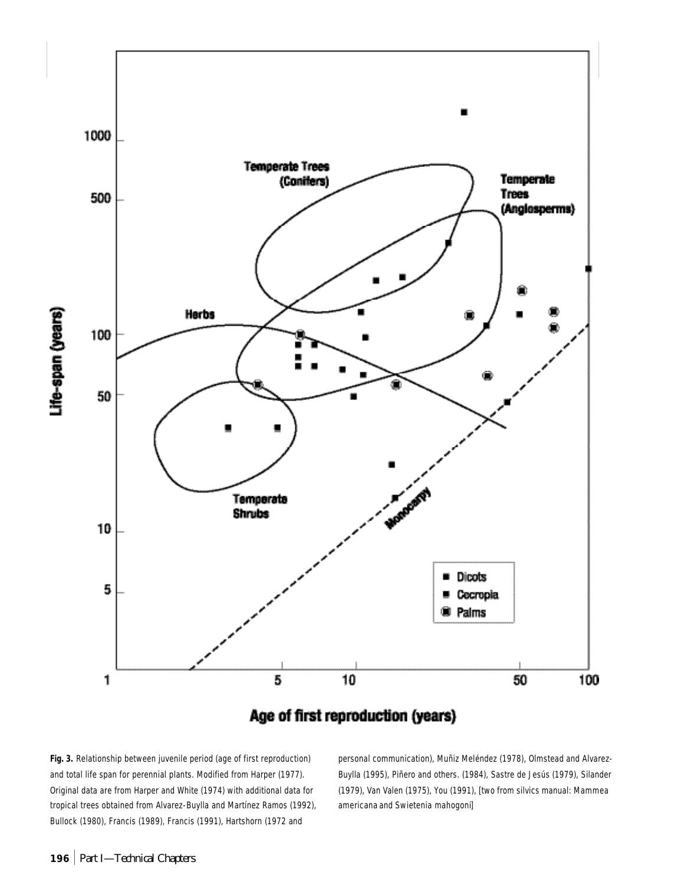

**Fig. 3.** Relationship between juvenile period (age of first reproduction) and total life span for perennial plants. Modified from Harper (1977). Original data are from Harper and White (1974) with additional data for tropical trees obtained from Alvarez-Buylla and Martínez Ramos (1992), Bullock (1980), Francis (1989), Francis (1991), Hartshorn (1972 and

personal communication), Muñiz Meléndez (1978), Olmstead and Alvarez-Buylla (1995), Piñero and others. (1984), Sastre de Jesús (1979), Silander (1979), Van Valen (1975), You (1991), [two from silvics manual: *Mammea americana* and *Swietenia mahogoni*]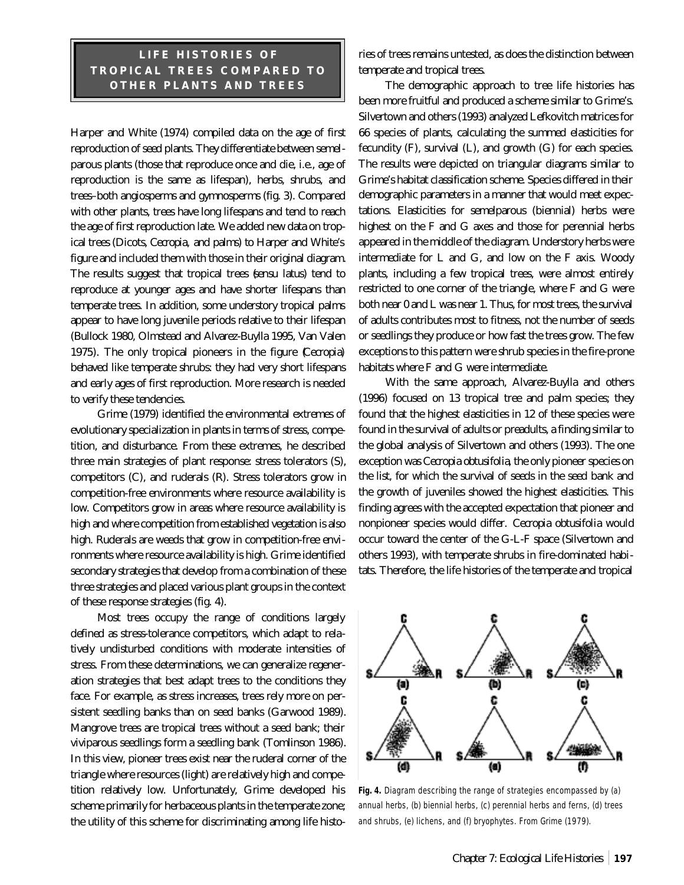# **LIFE HISTORIES OF TROPICAL TREES COMPARED TO OTHER PLANTS AND TREES**

Harper and White (1974) compiled data on the age of first reproduction of seed plants. They differentiate between semelparous plants (those that reproduce once and die, i.e., age of reproduction is the same as lifespan), herbs, shrubs, and trees–both angiosperms and gymnosperms (fig. 3). Compared with other plants, trees have long lifespans and tend to reach the age of first reproduction late. We added new data on tropical trees (Dicots, *Cecropia,* and palms) to Harper and White's figure and included them with those in their original diagram. The results suggest that tropical trees (*sensu latus*) tend to reproduce at younger ages and have shorter lifespans than temperate trees. In addition, some understory tropical palms appear to have long juvenile periods relative to their lifespan (Bullock 1980, Olmstead and Alvarez-Buylla 1995, Van Valen 1975). The only tropical pioneers in the figure (*Cecropia*) behaved like temperate shrubs: they had very short lifespans and early ages of first reproduction. More research is needed to verify these tendencies.

Grime (1979) identified the environmental extremes of evolutionary specialization in plants in terms of stress, competition, and disturbance. From these extremes, he described three main strategies of plant response: stress tolerators (S), competitors (C), and ruderals (R). Stress tolerators grow in competition-free environments where resource availability is low. Competitors grow in areas where resource availability is high and where competition from established vegetation is also high. Ruderals are weeds that grow in competition-free environments where resource availability is high. Grime identified secondary strategies that develop from a combination of these three strategies and placed various plant groups in the context of these response strategies (fig. 4).

Most trees occupy the range of conditions largely defined as stress-tolerance competitors, which adapt to relatively undisturbed conditions with moderate intensities of stress. From these determinations, we can generalize regeneration strategies that best adapt trees to the conditions they face. For example, as stress increases, trees rely more on persistent seedling banks than on seed banks (Garwood 1989). Mangrove trees are tropical trees without a seed bank; their viviparous seedlings form a seedling bank (Tomlinson 1986). In this view, pioneer trees exist near the ruderal corner of the triangle where resources (light) are relatively high and competition relatively low. Unfortunately, Grime developed his scheme primarily for herbaceous plants in the temperate zone; the utility of this scheme for discriminating among life histories of trees remains untested, as does the distinction between temperate and tropical trees.

The demographic approach to tree life histories has been more fruitful and produced a scheme similar to Grime's. Silvertown and others (1993) analyzed Lefkovitch matrices for 66 species of plants, calculating the summed elasticities for fecundity (F), survival (L), and growth (G) for each species. The results were depicted on triangular diagrams similar to Grime's habitat classification scheme. Species differed in their demographic parameters in a manner that would meet expectations. Elasticities for semelparous (biennial) herbs were highest on the F and G axes and those for perennial herbs appeared in the middle of the diagram. Understory herbs were intermediate for L and G, and low on the F axis. Woody plants, including a few tropical trees, were almost entirely restricted to one corner of the triangle, where F and G were both near 0 and L was near 1. Thus, for most trees, the survival of adults contributes most to fitness, not the number of seeds or seedlings they produce or how fast the trees grow. The few exceptions to this pattern were shrub species in the fire-prone habitats where F and G were intermediate.

With the same approach, Alvarez-Buylla and others (1996) focused on 13 tropical tree and palm species; they found that the highest elasticities in 12 of these species were found in the survival of adults or preadults, a finding similar to the global analysis of Silvertown and others (1993). The one exception was *Cecropia obtusifolia*, the only pioneer species on the list, for which the survival of seeds in the seed bank and the growth of juveniles showed the highest elasticities. This finding agrees with the accepted expectation that pioneer and nonpioneer species would differ. *Cecropia obtusifolia* would occur toward the center of the G-L-F space (Silvertown and others 1993), with temperate shrubs in fire-dominated habitats. Therefore, the life histories of the temperate and tropical



**Fig. 4.** Diagram describing the range of strategies encompassed by (a) annual herbs, (b) biennial herbs, (c) perennial herbs and ferns, (d) trees and shrubs, (e) lichens, and (f) bryophytes. From Grime (1979).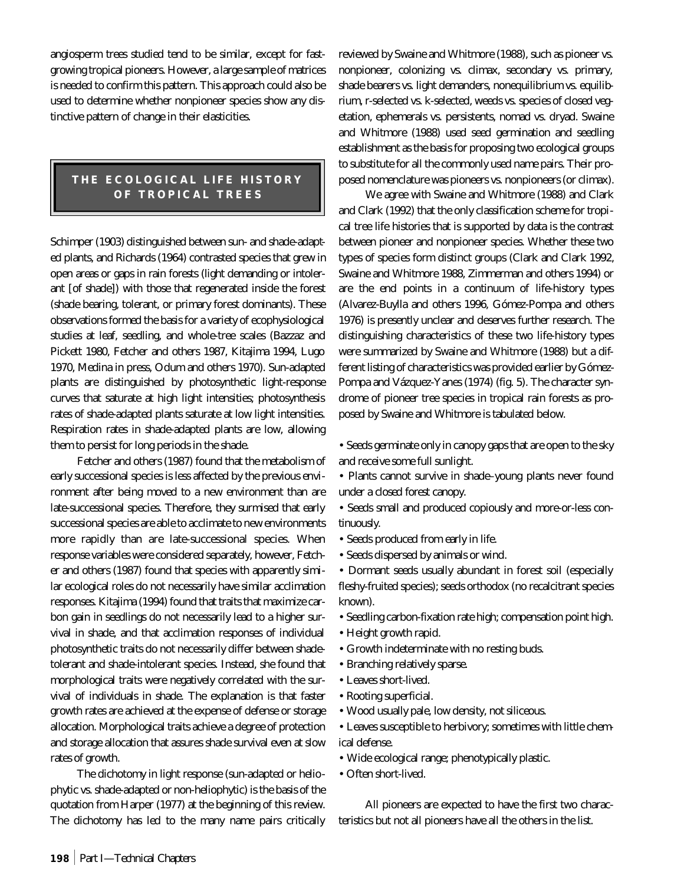angiosperm trees studied tend to be similar, except for fastgrowing tropical pioneers. However, a large sample of matrices is needed to confirm this pattern. This approach could also be used to determine whether nonpioneer species show any distinctive pattern of change in their elasticities.

# **THE ECOLOGICAL LIFE HISTORY OF TROPICAL TREES**

Schimper (1903) distinguished between sun- and shade-adapted plants, and Richards (1964) contrasted species that grew in open areas or gaps in rain forests (light demanding or intolerant [of shade]) with those that regenerated inside the forest (shade bearing, tolerant, or primary forest dominants). These observations formed the basis for a variety of ecophysiological studies at leaf, seedling, and whole-tree scales (Bazzaz and Pickett 1980, Fetcher and others 1987, Kitajima 1994, Lugo 1970, Medina in press, Odum and others 1970). Sun-adapted plants are distinguished by photosynthetic light-response curves that saturate at high light intensities; photosynthesis rates of shade-adapted plants saturate at low light intensities. Respiration rates in shade-adapted plants are low, allowing them to persist for long periods in the shade.

Fetcher and others (1987) found that the metabolism of early successional species is less affected by the previous environment after being moved to a new environment than are late-successional species. Therefore, they surmised that early successional species are able to acclimate to new environments more rapidly than are late-successional species. When response variables were considered separately, however, Fetcher and others (1987) found that species with apparently similar ecological roles do not necessarily have similar acclimation responses. Kitajima (1994) found that traits that maximize carbon gain in seedlings do not necessarily lead to a higher survival in shade, and that acclimation responses of individual photosynthetic traits do not necessarily differ between shadetolerant and shade-intolerant species. Instead, she found that morphological traits were negatively correlated with the survival of individuals in shade. The explanation is that faster growth rates are achieved at the expense of defense or storage allocation. Morphological traits achieve a degree of protection and storage allocation that assures shade survival even at slow rates of growth.

The dichotomy in light response (sun-adapted or heliophytic vs. shade-adapted or non-heliophytic) is the basis of the quotation from Harper (1977) at the beginning of this review. The dichotomy has led to the many name pairs critically reviewed by Swaine and Whitmore (1988), such as pioneer vs. nonpioneer, colonizing vs. climax, secondary vs. primary, shade bearers vs. light demanders, nonequilibrium vs. equilibrium, r-selected vs. k-selected, weeds vs. species of closed vegetation, ephemerals vs. persistents, nomad vs. dryad. Swaine and Whitmore (1988) used seed germination and seedling establishment as the basis for proposing two ecological groups to substitute for all the commonly used name pairs. Their proposed nomenclature was pioneers vs. nonpioneers (or climax).

We agree with Swaine and Whitmore (1988) and Clark and Clark (1992) that the only classification scheme for tropical tree life histories that is supported by data is the contrast between pioneer and nonpioneer species. Whether these two types of species form distinct groups (Clark and Clark 1992, Swaine and Whitmore 1988, Zimmerman and others 1994) or are the end points in a continuum of life-history types (Alvarez-Buylla and others 1996, Gómez-Pompa and others 1976) is presently unclear and deserves further research. The distinguishing characteristics of these two life-history types were summarized by Swaine and Whitmore (1988) but a different listing of characteristics was provided earlier by Gómez-Pompa and Vázquez-Yanes (1974) (fig. 5). The character syndrome of pioneer tree species in tropical rain forests as proposed by Swaine and Whitmore is tabulated below.

• Seeds germinate only in canopy gaps that are open to the sky and receive some full sunlight.

• Plants cannot survive in shade–young plants never found under a closed forest canopy.

• Seeds small and produced copiously and more-or-less continuously.

- Seeds produced from early in life.
- Seeds dispersed by animals or wind.

• Dormant seeds usually abundant in forest soil (especially fleshy-fruited species); seeds orthodox (no recalcitrant species known).

- Seedling carbon-fixation rate high; compensation point high.
- Height growth rapid.
- Growth indeterminate with no resting buds.
- Branching relatively sparse.
- Leaves short-lived.
- Rooting superficial.
- Wood usually pale, low density, not siliceous.
- Leaves susceptible to herbivory; sometimes with little chemical defense.
- Wide ecological range; phenotypically plastic.
- Often short-lived.

All pioneers are expected to have the first two characteristics but not all pioneers have all the others in the list.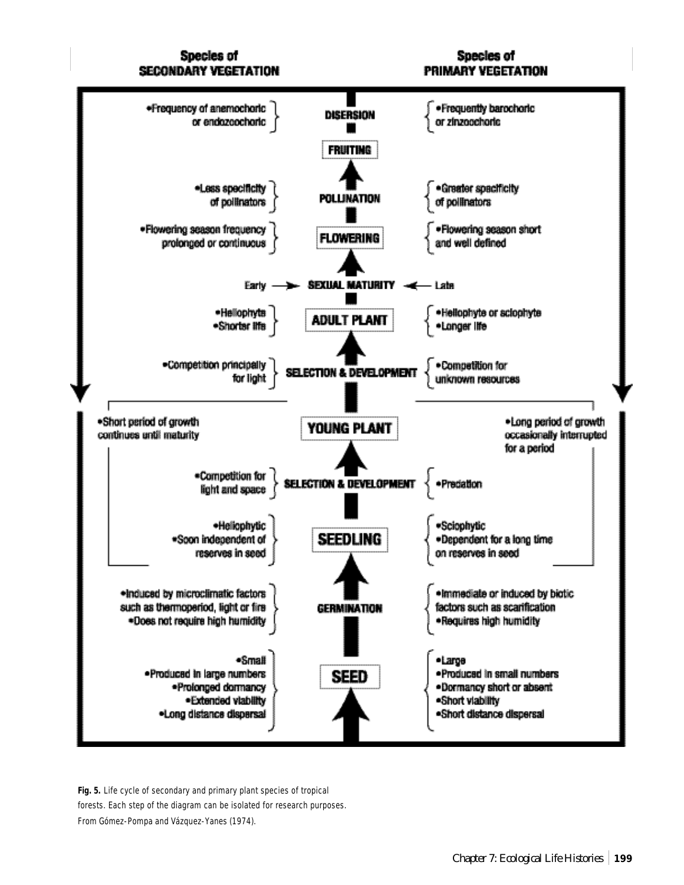# Species of **SECONDARY VEGETATION**

Species of PRIMARY VEGETATION



**Fig. 5.** Life cycle of secondary and primary plant species of tropical forests. Each step of the diagram can be isolated for research purposes. From Gómez-Pompa and Vázquez-Yanes (1974).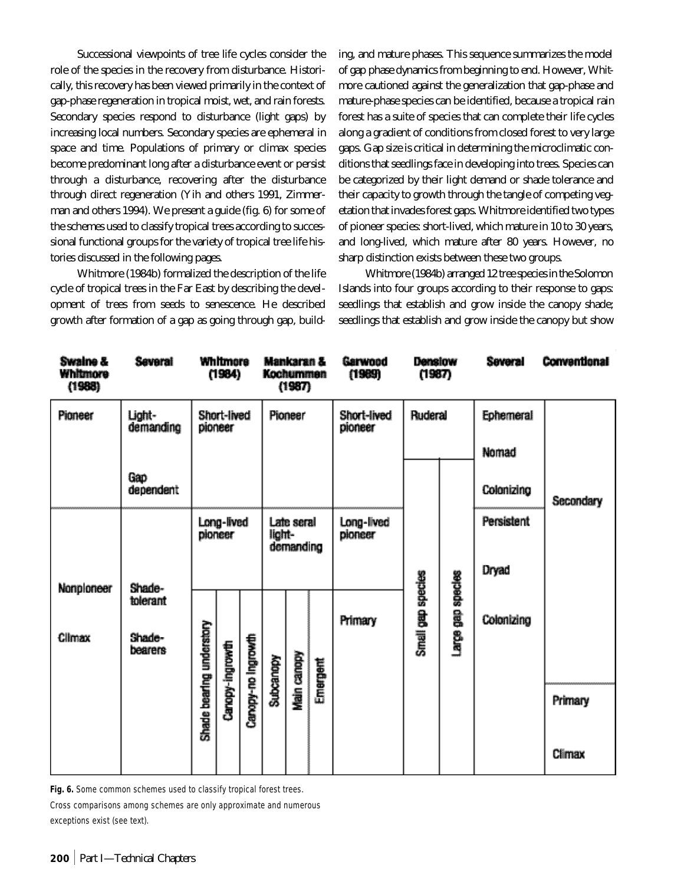Successional viewpoints of tree life cycles consider the role of the species in the recovery from disturbance. Historically, this recovery has been viewed primarily in the context of gap-phase regeneration in tropical moist, wet, and rain forests. Secondary species respond to disturbance (light gaps) by increasing local numbers. Secondary species are ephemeral in space and time. Populations of primary or climax species become predominant long after a disturbance event or persist through a disturbance, recovering after the disturbance through direct regeneration (Yih and others 1991, Zimmerman and others 1994). We present a guide (fig. 6) for some of the schemes used to classify tropical trees according to successional functional groups for the variety of tropical tree life histories discussed in the following pages.

Whitmore (1984b) formalized the description of the life cycle of tropical trees in the Far East by describing the development of trees from seeds to senescence. He described growth after formation of a gap as going through gap, building, and mature phases. This sequence summarizes the model of gap phase dynamics from beginning to end. However, Whitmore cautioned against the generalization that gap-phase and mature-phase species can be identified, because a tropical rain forest has a suite of species that can complete their life cycles along a gradient of conditions from closed forest to very large gaps. Gap size is critical in determining the microclimatic conditions that seedlings face in developing into trees. Species can be categorized by their light demand or shade tolerance and their capacity to growth through the tangle of competing vegetation that invades forest gaps. Whitmore identified two types of pioneer species: short-lived, which mature in 10 to 30 years, and long-lived, which mature after 80 years. However, no sharp distinction exists between these two groups.

Whitmore (1984b) arranged 12 tree species in the Solomon Islands into four groups according to their response to gaps: seedlings that establish and grow inside the canopy shade; seedlings that establish and grow inside the canopy but show

| Swalne &<br>Whitmore<br>(1988) | Several                       |                          | Whitmore<br>(1984)     |                    | Kochummen | Mankaran &<br>(1987)    |          | Garwood<br>(1989)      | Denslow<br>(1987) |                   | Several    | <b>Conventional</b> |
|--------------------------------|-------------------------------|--------------------------|------------------------|--------------------|-----------|-------------------------|----------|------------------------|-------------------|-------------------|------------|---------------------|
| Pioneer                        | Light-<br>demanding           |                          | Short-lived<br>pioneer |                    |           | Pioneer                 |          | Short-lived<br>pioneer | Ruderal           |                   | Ephemeral  |                     |
|                                |                               |                          |                        |                    |           |                         |          |                        |                   |                   | Nomad      |                     |
|                                | Gap<br>dependent              |                          |                        |                    |           |                         |          |                        |                   |                   | Colonizing | Secondary           |
|                                |                               |                          | Long-lived<br>pioneer  |                    | light-    | Late seral<br>demanding |          | Long-lived<br>pioneer  |                   |                   | Persistent |                     |
| Nonploneer                     | Shade-                        |                          |                        |                    |           |                         |          |                        |                   |                   | Dryad      |                     |
| Climax                         | tolerant<br>Shade-<br>bearers | Shade bearing understory | Canopy-ingrowth        | Caropy-no ingrowth | Subcanopy | Main canopy             | Emergent | Primary                | Small gap species | rarge gap species | Colonizing |                     |
|                                |                               |                          |                        |                    |           |                         |          |                        |                   |                   |            | Primary             |
|                                |                               |                          |                        |                    |           |                         |          |                        |                   |                   |            | Climax              |

**Fig. 6.** Some common schemes used to classify tropical forest trees.

Cross comparisons among schemes are only approximate and numerous exceptions exist (see text).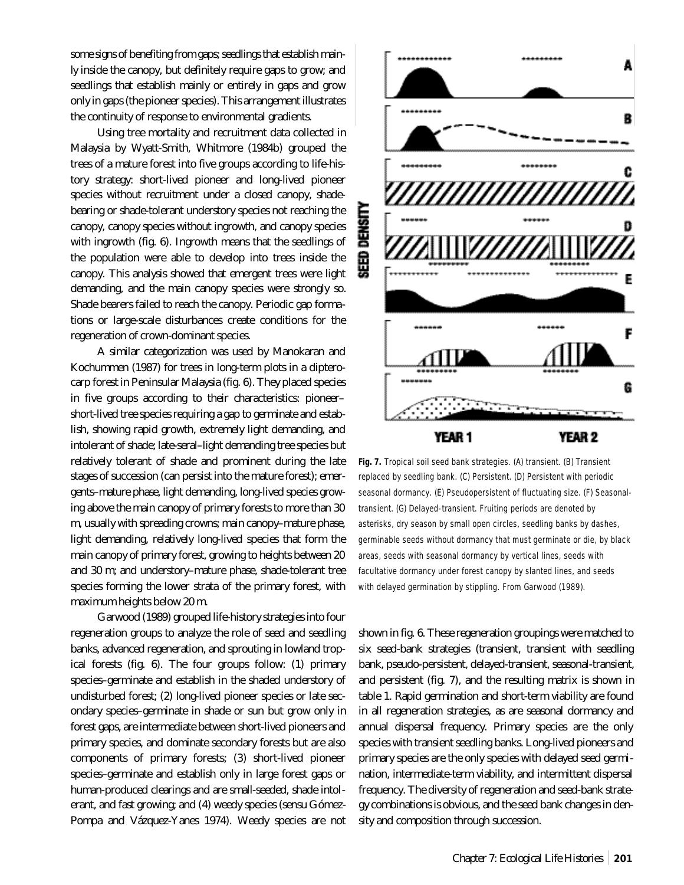some signs of benefiting from gaps; seedlings that establish mainly inside the canopy, but definitely require gaps to grow; and seedlings that establish mainly or entirely in gaps and grow only in gaps (the pioneer species). This arrangement illustrates the continuity of response to environmental gradients.

Using tree mortality and recruitment data collected in Malaysia by Wyatt-Smith, Whitmore (1984b) grouped the trees of a mature forest into five groups according to life-history strategy: short-lived pioneer and long-lived pioneer species without recruitment under a closed canopy, shadebearing or shade-tolerant understory species not reaching the canopy, canopy species without ingrowth, and canopy species with ingrowth (fig. 6). Ingrowth means that the seedlings of the population were able to develop into trees inside the canopy. This analysis showed that emergent trees were light demanding, and the main canopy species were strongly so. Shade bearers failed to reach the canopy. Periodic gap formations or large-scale disturbances create conditions for the regeneration of crown-dominant species.

A similar categorization was used by Manokaran and Kochummen (1987) for trees in long-term plots in a dipterocarp forest in Peninsular Malaysia (fig. 6). They placed species in five groups according to their characteristics: pioneer– short-lived tree species requiring a gap to germinate and establish, showing rapid growth, extremely light demanding, and intolerant of shade; late-seral–light demanding tree species but relatively tolerant of shade and prominent during the late stages of succession (can persist into the mature forest); emergents–mature phase, light demanding, long-lived species growing above the main canopy of primary forests to more than 30 m, usually with spreading crowns; main canopy–mature phase, light demanding, relatively long-lived species that form the main canopy of primary forest, growing to heights between 20 and 30 m; and understory–mature phase, shade-tolerant tree species forming the lower strata of the primary forest, with maximum heights below 20 m.

Garwood (1989) grouped life-history strategies into four regeneration groups to analyze the role of seed and seedling banks, advanced regeneration, and sprouting in lowland tropical forests (fig. 6). The four groups follow: (1) primary species–germinate and establish in the shaded understory of undisturbed forest; (2) long-lived pioneer species or late secondary species–germinate in shade or sun but grow only in forest gaps, are intermediate between short-lived pioneers and primary species, and dominate secondary forests but are also components of primary forests; (3) short-lived pioneer species–germinate and establish only in large forest gaps or human-produced clearings and are small-seeded, shade intolerant, and fast growing; and (4) weedy species (*sensu* Gómez-Pompa and Vázquez-Yanes 1974). Weedy species are not



**Fig. 7.** Tropical soil seed bank strategies. (A) transient. (B) Transient replaced by seedling bank. (C) Persistent. (D) Persistent with periodic seasonal dormancy. (E) Pseudopersistent of fluctuating size. (F) Seasonaltransient. (G) Delayed-transient. Fruiting periods are denoted by asterisks, dry season by small open circles, seedling banks by dashes, germinable seeds without dormancy that must germinate or die, by black areas, seeds with seasonal dormancy by vertical lines, seeds with facultative dormancy under forest canopy by slanted lines, and seeds with delayed germination by stippling. From Garwood (1989).

shown in fig. 6. These regeneration groupings were matched to six seed-bank strategies (transient, transient with seedling bank, pseudo-persistent, delayed-transient, seasonal-transient, and persistent (fig. 7), and the resulting matrix is shown in table 1. Rapid germination and short-term viability are found in all regeneration strategies, as are seasonal dormancy and annual dispersal frequency. Primary species are the only species with transient seedling banks. Long-lived pioneers and primary species are the only species with delayed seed germination, intermediate-term viability, and intermittent dispersal frequency. The diversity of regeneration and seed-bank strategy combinations is obvious, and the seed bank changes in density and composition through succession.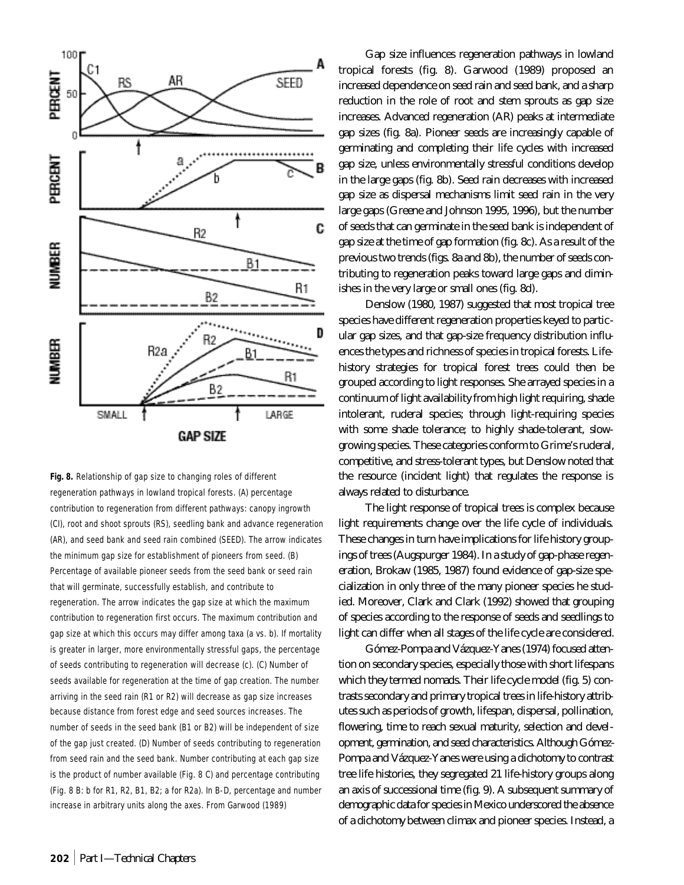

**Fig. 8.** Relationship of gap size to changing roles of different regeneration pathways in lowland tropical forests. (A) percentage contribution to regeneration from different pathways: canopy ingrowth (CI), root and shoot sprouts (RS), seedling bank and advance regeneration (AR), and seed bank and seed rain combined (SEED). The arrow indicates the minimum gap size for establishment of pioneers from seed. (B) Percentage of available pioneer seeds from the seed bank or seed rain that will germinate, successfully establish, and contribute to regeneration. The arrow indicates the gap size at which the maximum contribution to regeneration first occurs. The maximum contribution and gap size at which this occurs may differ among taxa (a vs. b). If mortality is greater in larger, more environmentally stressful gaps, the percentage of seeds contributing to regeneration will decrease (c). (C) Number of seeds available for regeneration at the time of gap creation. The number arriving in the seed rain (R1 or R2) will decrease as gap size increases because distance from forest edge and seed sources increases. The number of seeds in the seed bank (B1 or B2) will be independent of size of the gap just created. (D) Number of seeds contributing to regeneration from seed rain and the seed bank. Number contributing at each gap size is the product of number available (Fig. 8 C) and percentage contributing (Fig. 8 B: b for R1, R2, B1, B2; a for R2a). In B-D, percentage and number increase in arbitrary units along the axes. From Garwood (1989)

Gap size influences regeneration pathways in lowland tropical forests (fig. 8). Garwood (1989) proposed an increased dependence on seed rain and seed bank, and a sharp reduction in the role of root and stem sprouts as gap size increases. Advanced regeneration (AR) peaks at intermediate gap sizes (fig. 8a). Pioneer seeds are increasingly capable of germinating and completing their life cycles with increased gap size, unless environmentally stressful conditions develop in the large gaps (fig. 8b). Seed rain decreases with increased gap size as dispersal mechanisms limit seed rain in the very large gaps (Greene and Johnson 1995, 1996), but the number of seeds that can germinate in the seed bank is independent of gap size at the time of gap formation (fig. 8c). As a result of the previous two trends (figs. 8a and 8b), the number of seeds contributing to regeneration peaks toward large gaps and diminishes in the very large or small ones (fig. 8d).

Denslow (1980, 1987) suggested that most tropical tree species have different regeneration properties keyed to particular gap sizes, and that gap-size frequency distribution influences the types and richness of species in tropical forests. Lifehistory strategies for tropical forest trees could then be grouped according to light responses. She arrayed species in a continuum of light availability from high light requiring, shade intolerant, ruderal species; through light-requiring species with some shade tolerance; to highly shade-tolerant, slowgrowing species. These categories conform to Grime's ruderal, competitive, and stress-tolerant types, but Denslow noted that the resource (incident light) that regulates the response is always related to disturbance.

The light response of tropical trees is complex because light requirements change over the life cycle of individuals. These changes in turn have implications for life history groupings of trees (Augspurger 1984). In a study of gap-phase regeneration, Brokaw (1985, 1987) found evidence of gap-size specialization in only three of the many pioneer species he studied. Moreover, Clark and Clark (1992) showed that grouping of species according to the response of seeds and seedlings to light can differ when all stages of the life cycle are considered.

Gómez-Pompa and Vázquez-Yanes (1974) focused attention on secondary species, especially those with short lifespans which they termed nomads. Their life cycle model (fig. 5) contrasts secondary and primary tropical trees in life-history attributes such as periods of growth, lifespan, dispersal, pollination, flowering, time to reach sexual maturity, selection and development, germination, and seed characteristics. Although Gómez-Pompa and Vázquez-Yanes were using a dichotomy to contrast tree life histories, they segregated 21 life-history groups along an axis of successional time (fig. 9). A subsequent summary of demographic data for species in Mexico underscored the absence of a dichotomy between climax and pioneer species. Instead, a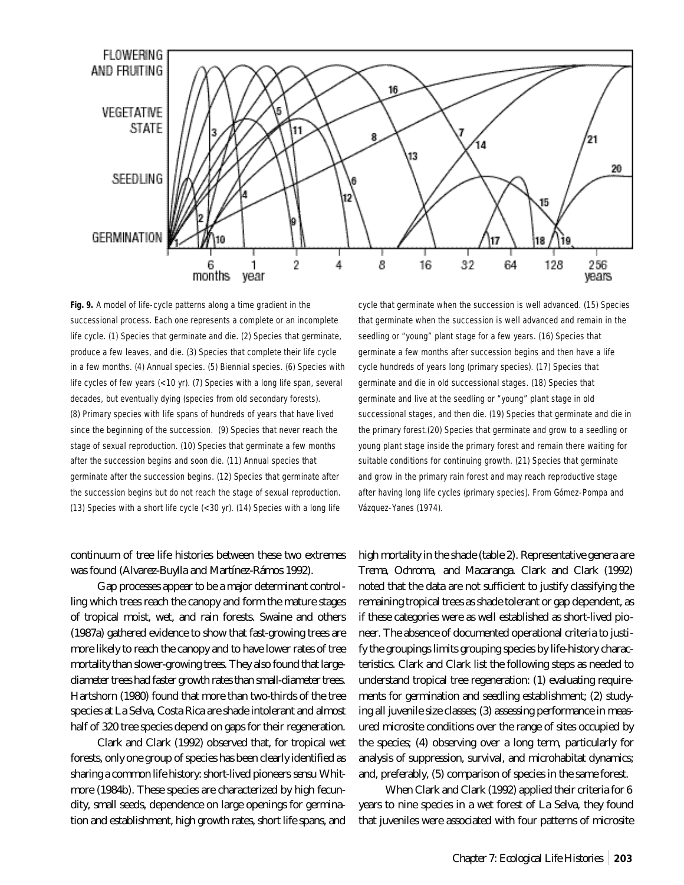

**Fig. 9.** A model of life-cycle patterns along a time gradient in the successional process. Each one represents a complete or an incomplete life cycle. (1) Species that germinate and die. (2) Species that germinate, produce a few leaves, and die. (3) Species that complete their life cycle in a few months. (4) Annual species. (5) Biennial species. (6) Species with life cycles of few years (<10 yr). (7) Species with a long life span, several decades, but eventually dying (species from old secondary forests). (8) Primary species with life spans of hundreds of years that have lived since the beginning of the succession. (9) Species that never reach the stage of sexual reproduction. (10) Species that germinate a few months after the succession begins and soon die. (11) Annual species that germinate after the succession begins. (12) Species that germinate after the succession begins but do not reach the stage of sexual reproduction. (13) Species with a short life cycle (<30 yr). (14) Species with a long life

# continuum of tree life histories between these two extremes was found (Alvarez-Buylla and Martínez-Rámos 1992).

Gap processes appear to be a major determinant controlling which trees reach the canopy and form the mature stages of tropical moist, wet, and rain forests. Swaine and others (1987a) gathered evidence to show that fast-growing trees are more likely to reach the canopy and to have lower rates of tree mortality than slower-growing trees. They also found that largediameter trees had faster growth rates than small-diameter trees. Hartshorn (1980) found that more than two-thirds of the tree species at La Selva, Costa Rica are shade intolerant and almost half of 320 tree species depend on gaps for their regeneration.

Clark and Clark (1992) observed that, for tropical wet forests, only one group of species has been clearly identified as sharing a common life history: short-lived pioneers *sensu* Whitmore (1984b). These species are characterized by high fecundity, small seeds, dependence on large openings for germination and establishment, high growth rates, short life spans, and

cycle that germinate when the succession is well advanced. (15) Species that germinate when the succession is well advanced and remain in the seedling or "young" plant stage for a few years. (16) Species that germinate a few months after succession begins and then have a life cycle hundreds of years long (primary species). (17) Species that germinate and die in old successional stages. (18) Species that germinate and live at the seedling or "young" plant stage in old successional stages, and then die. (19) Species that germinate and die in the primary forest.(20) Species that germinate and grow to a seedling or young plant stage inside the primary forest and remain there waiting for suitable conditions for continuing growth. (21) Species that germinate and grow in the primary rain forest and may reach reproductive stage after having long life cycles (primary species). From Gómez-Pompa and Vázquez-Yanes (1974).

high mortality in the shade (table 2). Representative genera are *Trema, Ochroma,* and *Macaranga*. Clark and Clark (1992) noted that the data are not sufficient to justify classifying the remaining tropical trees as shade tolerant or gap dependent, as if these categories were as well established as short-lived pioneer. The absence of documented operational criteria to justify the groupings limits grouping species by life-history characteristics. Clark and Clark list the following steps as needed to understand tropical tree regeneration: (1) evaluating requirements for germination and seedling establishment; (2) studying all juvenile size classes; (3) assessing performance in measured microsite conditions over the range of sites occupied by the species; (4) observing over a long term, particularly for analysis of suppression, survival, and microhabitat dynamics; and, preferably, (5) comparison of species in the same forest.

When Clark and Clark (1992) applied their criteria for 6 years to nine species in a wet forest of La Selva, they found that juveniles were associated with four patterns of microsite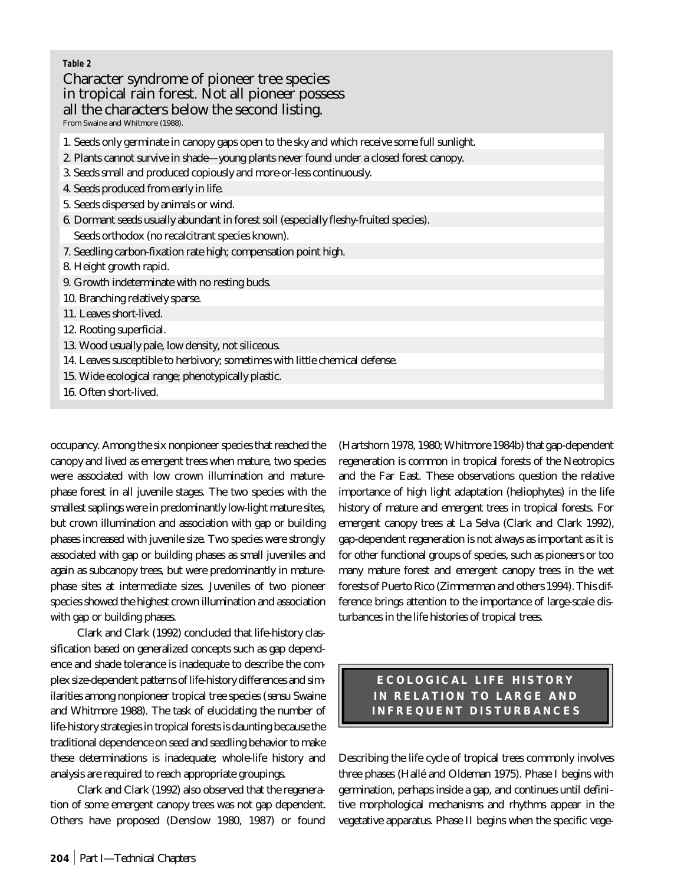### **Table 2**

# Character syndrome of pioneer tree species in tropical rain forest. Not all pioneer possess all the characters below the second listing.

From Swaine and Whitmore (1988).

- 1. Seeds only germinate in canopy gaps open to the sky and which receive some full sunlight.
- 2. Plants cannot survive in shade—young plants never found under a closed forest canopy.
- 3. Seeds small and produced copiously and more-or-less continuously.
- 4. Seeds produced from early in life.
- 5. Seeds dispersed by animals or wind.
- 6. Dormant seeds usually abundant in forest soil (especially fleshy-fruited species).
- Seeds orthodox (no recalcitrant species known).
- 7. Seedling carbon-fixation rate high; compensation point high.
- 8. Height growth rapid.
- 9. Growth indeterminate with no resting buds.
- 10. Branching relatively sparse.
- 11. Leaves short-lived.
- 12. Rooting superficial.
- 13. Wood usually pale, low density, not siliceous.
- 14. Leaves susceptible to herbivory; sometimes with little chemical defense.
- 15. Wide ecological range; phenotypically plastic.
- 16. Often short-lived.

occupancy. Among the six nonpioneer species that reached the canopy and lived as emergent trees when mature, two species were associated with low crown illumination and maturephase forest in all juvenile stages. The two species with the smallest saplings were in predominantly low-light mature sites, but crown illumination and association with gap or building phases increased with juvenile size. Two species were strongly associated with gap or building phases as small juveniles and again as subcanopy trees, but were predominantly in maturephase sites at intermediate sizes. Juveniles of two pioneer species showed the highest crown illumination and association with gap or building phases.

Clark and Clark (1992) concluded that life-history classification based on generalized concepts such as gap dependence and shade tolerance is inadequate to describe the complex size-dependent patterns of life-history differences and similarities among nonpioneer tropical tree species (*sensu* Swaine and Whitmore 1988). The task of elucidating the number of life-history strategies in tropical forests is daunting because the traditional dependence on seed and seedling behavior to make these determinations is inadequate; whole-life history and analysis are required to reach appropriate groupings.

Clark and Clark (1992) also observed that the regeneration of some emergent canopy trees was not gap dependent. Others have proposed (Denslow 1980, 1987) or found

(Hartshorn 1978, 1980; Whitmore 1984b) that gap-dependent regeneration is common in tropical forests of the Neotropics and the Far East. These observations question the relative importance of high light adaptation (heliophytes) in the life history of mature and emergent trees in tropical forests. For emergent canopy trees at La Selva (Clark and Clark 1992), gap-dependent regeneration is not always as important as it is for other functional groups of species, such as pioneers or too many mature forest and emergent canopy trees in the wet forests of Puerto Rico (Zimmerman and others 1994). This difference brings attention to the importance of large-scale disturbances in the life histories of tropical trees.

> **ECOLOGICAL LIFE HISTORY IN RELATION TO LARGE AND INFREQUENT DISTURBANCES**

Describing the life cycle of tropical trees commonly involves three phases (Hallé and Oldeman 1975). Phase I begins with germination, perhaps inside a gap, and continues until definitive morphological mechanisms and rhythms appear in the vegetative apparatus. Phase II begins when the specific vege-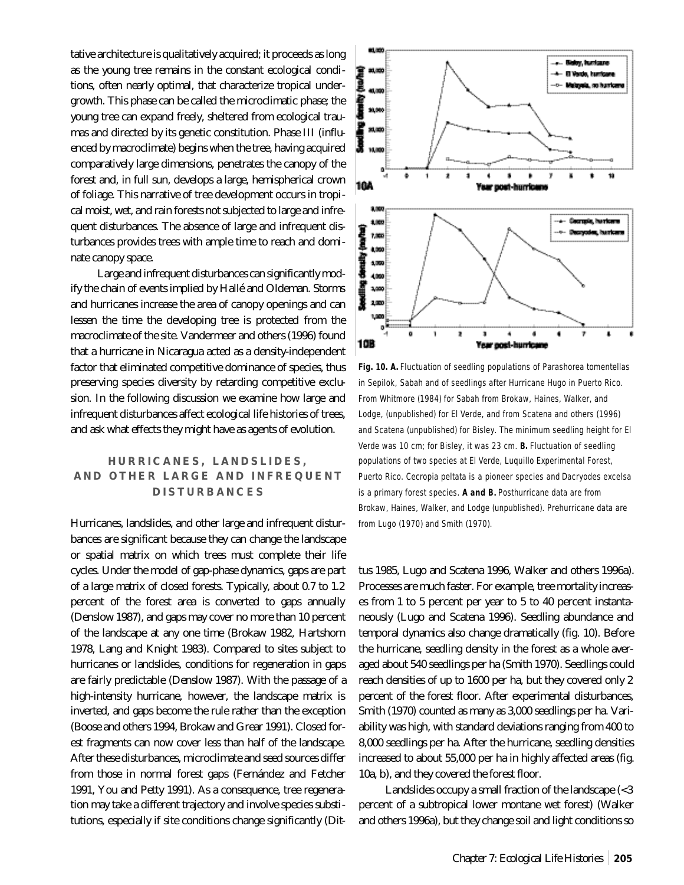tative architecture is qualitatively acquired; it proceeds as long as the young tree remains in the constant ecological conditions, often nearly optimal, that characterize tropical undergrowth. This phase can be called the microclimatic phase; the young tree can expand freely, sheltered from ecological traumas and directed by its genetic constitution. Phase III (influenced by macroclimate) begins when the tree, having acquired comparatively large dimensions, penetrates the canopy of the forest and, in full sun, develops a large, hemispherical crown of foliage. This narrative of tree development occurs in tropical moist, wet, and rain forests not subjected to large and infrequent disturbances. The absence of large and infrequent disturbances provides trees with ample time to reach and dominate canopy space.

Large and infrequent disturbances can significantly modify the chain of events implied by Hallé and Oldeman. Storms and hurricanes increase the area of canopy openings and can lessen the time the developing tree is protected from the macroclimate of the site. Vandermeer and others (1996) found that a hurricane in Nicaragua acted as a density-independent factor that eliminated competitive dominance of species, thus preserving species diversity by retarding competitive exclusion. In the following discussion we examine how large and infrequent disturbances affect ecological life histories of trees, and ask what effects they might have as agents of evolution.

# **HURRICANES, LANDSLIDES, AND OTHER LARGE AND INFREQUENT DISTURBANCES**

Hurricanes, landslides, and other large and infrequent disturbances are significant because they can change the landscape or spatial matrix on which trees must complete their life cycles. Under the model of gap-phase dynamics, gaps are part of a large matrix of closed forests. Typically, about 0.7 to 1.2 percent of the forest area is converted to gaps annually (Denslow 1987), and gaps may cover no more than 10 percent of the landscape at any one time (Brokaw 1982, Hartshorn 1978, Lang and Knight 1983). Compared to sites subject to hurricanes or landslides, conditions for regeneration in gaps are fairly predictable (Denslow 1987). With the passage of a high-intensity hurricane, however, the landscape matrix is inverted, and gaps become the rule rather than the exception (Boose and others 1994, Brokaw and Grear 1991). Closed forest fragments can now cover less than half of the landscape. After these disturbances, microclimate and seed sources differ from those in normal forest gaps (Fernández and Fetcher 1991, You and Petty 1991). As a consequence, tree regeneration may take a different trajectory and involve species substitutions, especially if site conditions change significantly (Dit-



**Fig. 10. A.** Fluctuation of seedling populations of *Parashorea tomentellas* in Sepilok, Sabah and of seedlings after Hurricane Hugo in Puerto Rico. From Whitmore (1984) for Sabah from Brokaw, Haines, Walker, and Lodge, (unpublished) for El Verde, and from Scatena and others (1996) and Scatena (unpublished) for Bisley. The minimum seedling height for El Verde was 10 cm; for Bisley, it was 23 cm. **B.** Fluctuation of seedling populations of two species at El Verde, Luquillo Experimental Forest, Puerto Rico. *Cecropia peltata* is a pioneer species and *Dacryodes excelsa* is a primary forest species. **A and B.** Posthurricane data are from Brokaw, Haines, Walker, and Lodge (unpublished). Prehurricane data are from Lugo (1970) and Smith (1970).

tus 1985, Lugo and Scatena 1996, Walker and others 1996a). Processes are much faster. For example, tree mortality increases from 1 to 5 percent per year to 5 to 40 percent instantaneously (Lugo and Scatena 1996). Seedling abundance and temporal dynamics also change dramatically (fig. 10). Before the hurricane, seedling density in the forest as a whole averaged about 540 seedlings per ha (Smith 1970). Seedlings could reach densities of up to 1600 per ha, but they covered only 2 percent of the forest floor. After experimental disturbances, Smith (1970) counted as many as 3,000 seedlings per ha. Variability was high, with standard deviations ranging from 400 to 8,000 seedlings per ha. After the hurricane, seedling densities increased to about 55,000 per ha in highly affected areas (fig. 10a, b), and they covered the forest floor.

Landslides occupy a small fraction of the landscape (<3 percent of a subtropical lower montane wet forest) (Walker and others 1996a), but they change soil and light conditions so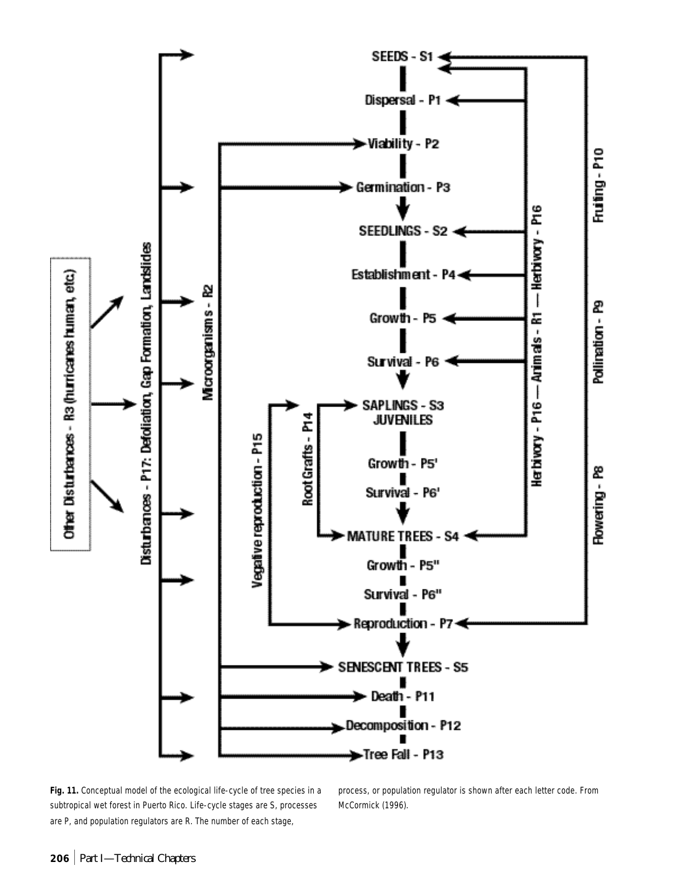

**Fig. 11.** Conceptual model of the ecological life-cycle of tree species in a subtropical wet forest in Puerto Rico. Life-cycle stages are S, processes are P, and population regulators are R. The number of each stage,

process, or population regulator is shown after each letter code. From McCormick (1996).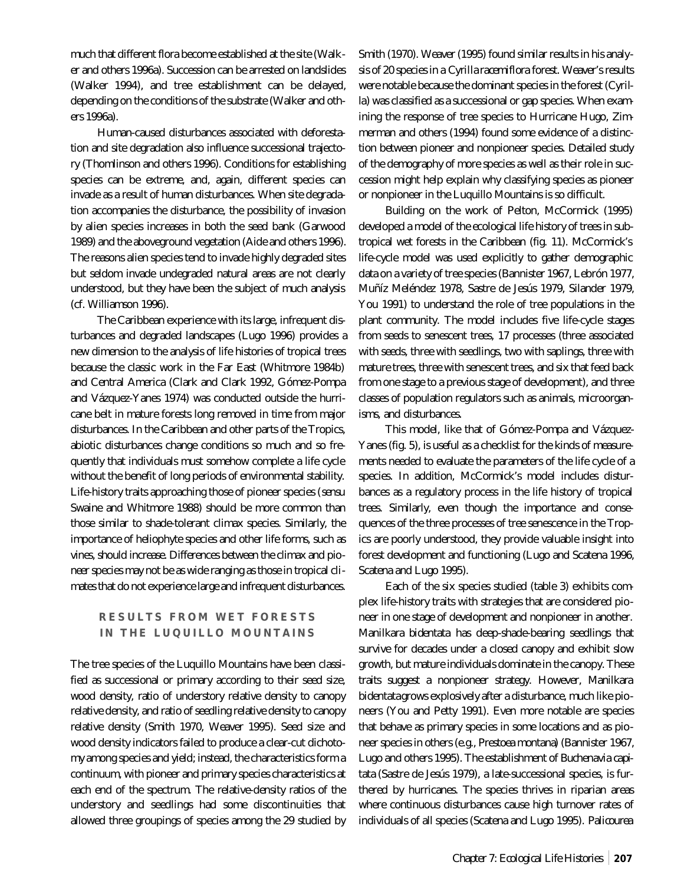much that different flora become established at the site (Walker and others 1996a). Succession can be arrested on landslides (Walker 1994), and tree establishment can be delayed, depending on the conditions of the substrate (Walker and others 1996a).

Human-caused disturbances associated with deforestation and site degradation also influence successional trajectory (Thomlinson and others 1996). Conditions for establishing species can be extreme, and, again, different species can invade as a result of human disturbances. When site degradation accompanies the disturbance, the possibility of invasion by alien species increases in both the seed bank (Garwood 1989) and the aboveground vegetation (Aide and others 1996). The reasons alien species tend to invade highly degraded sites but seldom invade undegraded natural areas are not clearly understood, but they have been the subject of much analysis (cf. Williamson 1996).

The Caribbean experience with its large, infrequent disturbances and degraded landscapes (Lugo 1996) provides a new dimension to the analysis of life histories of tropical trees because the classic work in the Far East (Whitmore 1984b) and Central America (Clark and Clark 1992, Gómez-Pompa and Vázquez-Yanes 1974) was conducted outside the hurricane belt in mature forests long removed in time from major disturbances. In the Caribbean and other parts of the Tropics, abiotic disturbances change conditions so much and so frequently that individuals must somehow complete a life cycle without the benefit of long periods of environmental stability. Life-history traits approaching those of pioneer species (*sensu* Swaine and Whitmore 1988) should be more common than those similar to shade-tolerant climax species. Similarly, the importance of heliophyte species and other life forms, such as vines, should increase. Differences between the climax and pioneer species may not be as wide ranging as those in tropical climates that do not experience large and infrequent disturbances.

# **RESULTS FROM WET FORESTS IN THE LUQUILLO MOUNTAINS**

The tree species of the Luquillo Mountains have been classified as successional or primary according to their seed size, wood density, ratio of understory relative density to canopy relative density, and ratio of seedling relative density to canopy relative density (Smith 1970, Weaver 1995). Seed size and wood density indicators failed to produce a clear-cut dichotomy among species and yield; instead, the characteristics form a continuum, with pioneer and primary species characteristics at each end of the spectrum. The relative-density ratios of the understory and seedlings had some discontinuities that allowed three groupings of species among the 29 studied by

Smith (1970). Weaver (1995) found similar results in his analysis of 20 species in a *Cyrilla racemiflora* forest. Weaver's results were notable because the dominant species in the forest (*Cyrilla*) was classified as a successional or gap species. When examining the response of tree species to Hurricane Hugo, Zimmerman and others (1994) found some evidence of a distinction between pioneer and nonpioneer species. Detailed study of the demography of more species as well as their role in succession might help explain why classifying species as pioneer or nonpioneer in the Luquillo Mountains is so difficult.

Building on the work of Pelton, McCormick (1995) developed a model of the ecological life history of trees in subtropical wet forests in the Caribbean (fig. 11). McCormick's life-cycle model was used explicitly to gather demographic data on a variety of tree species (Bannister 1967, Lebrón 1977, Muñíz Meléndez 1978, Sastre de Jesús 1979, Silander 1979, You 1991) to understand the role of tree populations in the plant community. The model includes five life-cycle stages from seeds to senescent trees, 17 processes (three associated with seeds, three with seedlings, two with saplings, three with mature trees, three with senescent trees, and six that feed back from one stage to a previous stage of development), and three classes of population regulators such as animals, microorganisms, and disturbances.

This model, like that of Gómez-Pompa and Vázquez-Yanes (fig. 5), is useful as a checklist for the kinds of measurements needed to evaluate the parameters of the life cycle of a species. In addition, McCormick's model includes disturbances as a regulatory process in the life history of tropical trees. Similarly, even though the importance and consequences of the three processes of tree senescence in the Tropics are poorly understood, they provide valuable insight into forest development and functioning (Lugo and Scatena 1996, Scatena and Lugo 1995).

Each of the six species studied (table 3) exhibits complex life-history traits with strategies that are considered pioneer in one stage of development and nonpioneer in another. *Manilkara bidentata* has deep-shade-bearing seedlings that survive for decades under a closed canopy and exhibit slow growth, but mature individuals dominate in the canopy. These traits suggest a nonpioneer strategy. However, *Manilkara bidentata*grows explosively after a disturbance, much like pioneers (You and Petty 1991). Even more notable are species that behave as primary species in some locations and as pioneer species in others (e.g., *Prestoea montana*) (Bannister 1967, Lugo and others 1995). The establishment of *Buchenavia capitata* (Sastre de Jesús 1979), a late-successional species, is furthered by hurricanes. The species thrives in riparian areas where continuous disturbances cause high turnover rates of individuals of all species (Scatena and Lugo 1995). *Palicourea*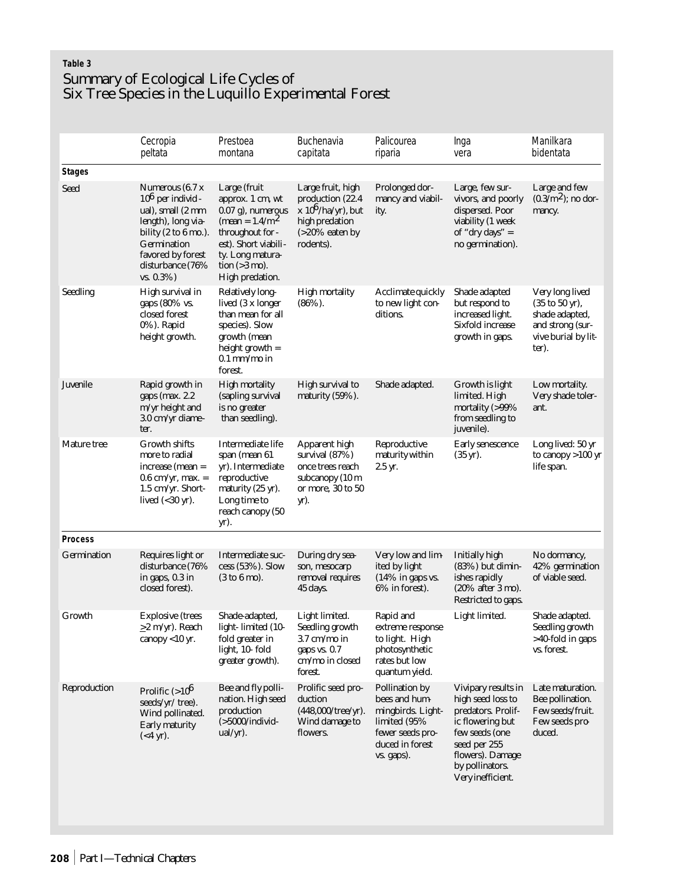# **Table 3** Summary of Ecological Life Cycles of Six Tree Species in the Luquillo Experimental Forest

|                    | Cecropia<br>peltata                                                                                                                                                                                   | Prestoea<br>montana                                                                                                                                                                | Buchenavia<br>capitata                                                                                               | Palicourea<br>riparia                                                                                                               | Inga<br>vera                                                                                                                                                                     | Manilkara<br>bidentata                                                                                                      |
|--------------------|-------------------------------------------------------------------------------------------------------------------------------------------------------------------------------------------------------|------------------------------------------------------------------------------------------------------------------------------------------------------------------------------------|----------------------------------------------------------------------------------------------------------------------|-------------------------------------------------------------------------------------------------------------------------------------|----------------------------------------------------------------------------------------------------------------------------------------------------------------------------------|-----------------------------------------------------------------------------------------------------------------------------|
| <b>Stages</b>      |                                                                                                                                                                                                       |                                                                                                                                                                                    |                                                                                                                      |                                                                                                                                     |                                                                                                                                                                                  |                                                                                                                             |
| <b>Seed</b>        | Numerous (6.7 x<br>$106$ per individ -<br>ual), small (2 mm<br>length), long via-<br>bility $(2 \text{ to } 6 \text{ mo.})$ .<br>Germination<br>favored by forest<br>disturbance (76%<br>$vs. 0.3\%)$ | Large (fruit<br>approx. 1 cm, wt<br>0.07 g), numerous<br>(mean = $1.4/m^2$ )<br>throughout for -<br>est). Short viabili-<br>ty. Long matura-<br>tion $(>3$ mo).<br>High predation. | Large fruit, high<br>production (22.4)<br>$x 10^6$ /ha/yr), but<br>high predation<br>$( >20\%$ eaten by<br>rodents). | Prolonged dor-<br>mancy and viabil-<br>ity.                                                                                         | Large, few sur-<br>vivors, and poorly<br>dispersed. Poor<br>viability (1 week<br>of "dry days" $=$<br>no germination).                                                           | Large and few<br>$(0.3/m^2)$ ; no dor-<br>mancy.                                                                            |
| <b>Seedling</b>    | High survival in<br>gaps (80% vs.<br>closed forest<br>$0\%$ ). Rapid<br>height growth.                                                                                                                | <b>Relatively long-</b><br>lived (3 x longer<br>than mean for all<br>species). Slow<br>growth (mean<br>height growth $=$<br>$0.1$ mm/mo in<br>forest.                              | <b>High mortality</b><br>$(86\%)$ .                                                                                  | Acclimate quickly<br>to new light con-<br>ditions.                                                                                  | Shade adapted<br>but respond to<br>increased light.<br>Sixfold increase<br>growth in gaps.                                                                                       | Very long lived<br>$(35 \text{ to } 50 \text{ yr})$ ,<br>shade adapted,<br>and strong (sur-<br>vive burial by lit-<br>ter). |
| Juvenile           | Rapid growth in<br>gaps (max. 2.2)<br>m/yr height and<br>3.0 cm/yr diame-<br>ter.                                                                                                                     | <b>High mortality</b><br>(sapling survival<br>is no greater<br>than seedling).                                                                                                     | <b>High survival to</b><br>maturity (59%).                                                                           | Shade adapted.                                                                                                                      | Growth is light<br>limited. High<br>mortality (>99%<br>from seedling to<br>juvenile).                                                                                            | Low mortality.<br>Very shade toler-<br>ant.                                                                                 |
| Mature tree        | <b>Growth shifts</b><br>more to radial<br>$increase (mean =$<br>$0.6$ cm/yr, max. =<br>1.5 cm/yr. Short-<br>lived $(30 \text{ yr}).$                                                                  | Intermediate life<br>span (mean 61<br>yr). Intermediate<br>reproductive<br>maturity (25 yr).<br>Long time to<br>reach canopy (50<br>yr).                                           | <b>Apparent high</b><br>survival (87%)<br>once trees reach<br>subcanopy (10 m<br>or more, 30 to 50<br>yr).           | Reproductive<br>maturity within<br>2.5 yr.                                                                                          | Early senescence<br>$(35 \text{ yr})$ .                                                                                                                                          | Long lived: 50 yr<br>to canopy $>100$ yr<br>life span.                                                                      |
| <b>Process</b>     |                                                                                                                                                                                                       |                                                                                                                                                                                    |                                                                                                                      |                                                                                                                                     |                                                                                                                                                                                  |                                                                                                                             |
| <b>Germination</b> | Requires light or<br>disturbance (76%<br>in gaps, 0.3 in<br>closed forest).                                                                                                                           | Intermediate suc-<br>cess (53%). Slow<br>(3 to 6 mo).                                                                                                                              | During dry sea-<br>son, mesocarp<br>removal requires<br>45 days.                                                     | Very low and lim-<br>ited by light<br>(14% in gaps vs.<br>6% in forest).                                                            | Initially high<br>$(83%)$ but dimin-<br>ishes rapidly<br>(20% after 3 mo).<br>Restricted to gaps.                                                                                | No dormancy,<br>42% germination<br>of viable seed.                                                                          |
| Growth             | <b>Explosive</b> (trees<br>$\geq$ 2 m/yr). Reach<br>canopy $<$ 10 yr.                                                                                                                                 | Shade-adapted,<br>light- limited (10-<br>fold greater in<br>light, 10-fold<br>greater growth).                                                                                     | Light limited.<br>Seedling growth<br>$3.7$ cm/mo in<br>gaps vs. 0.7<br>cm/mo in closed<br>forest.                    | Rapid and<br>extreme response<br>to light. High<br>photosynthetic<br>rates but low<br>quantum yield.                                | Light limited.                                                                                                                                                                   | Shade adapted.<br>Seedling growth<br>>40-fold in gaps<br>vs. forest.                                                        |
| Reproduction       | Prolific $(>10^6$<br>seeds/yr/ tree).<br>Wind pollinated.<br>Early maturity<br>$(<4 \text{ yr}).$                                                                                                     | Bee and fly polli-<br>nation. High seed<br>production<br>$($ >5000/individ-<br>$ual/yr$ ).                                                                                         | Prolific seed pro-<br>duction<br>$(448,000/\text{tree/yr}).$<br>Wind damage to<br>flowers.                           | <b>Pollination by</b><br>bees and hum-<br>mingbirds. Light-<br>limited $(95\%$<br>fewer seeds pro-<br>duced in forest<br>vs. gaps). | Vivipary results in<br>high seed loss to<br>predators. Prolif-<br>ic flowering but<br>few seeds (one<br>seed per 255<br>flowers). Damage<br>by pollinators.<br>Very inefficient. | Late maturation.<br>Bee pollination.<br>Few seeds/fruit.<br>Few seeds pro-<br>duced.                                        |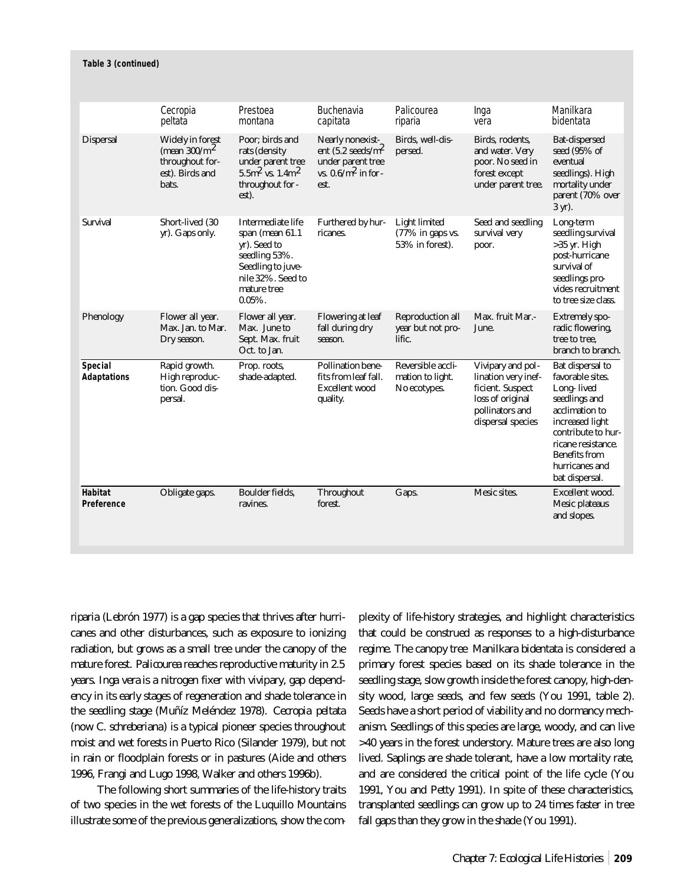#### **Table 3 (continued)**

|                                     | Cecropia<br>peltata                                                                       | Prestoea<br>montana                                                                                                                            | Buchenavia<br>capitata                                                                                   | Palicourea<br>riparia                                          | Inga<br>vera                                                                                                             | Manilkara<br>bidentata                                                                                                                                                                                           |
|-------------------------------------|-------------------------------------------------------------------------------------------|------------------------------------------------------------------------------------------------------------------------------------------------|----------------------------------------------------------------------------------------------------------|----------------------------------------------------------------|--------------------------------------------------------------------------------------------------------------------------|------------------------------------------------------------------------------------------------------------------------------------------------------------------------------------------------------------------|
| <b>Dispersal</b>                    | <b>Widely in forest</b><br>(mean $300/m^2$<br>throughout for-<br>est). Birds and<br>bats. | Poor; birds and<br>rats (density<br>under parent tree<br>$5.5 \text{m}^2$ vs. $1.4 \text{m}^2$<br>throughout for -<br>est).                    | Nearly nonexist-<br>ent $(5.2 \text{ seeds/m}^2)$<br>under parent tree<br>vs. $0.6/m^2$ in for -<br>est. | Birds, well-dis-<br>persed.                                    | Birds, rodents,<br>and water. Very<br>poor. No seed in<br>forest except<br>under parent tree.                            | <b>Bat-dispersed</b><br>seed (95% of<br>eventual<br>seedlings). High<br>mortality under<br>parent (70% over<br>3 yr).                                                                                            |
| <b>Survival</b>                     | Short-lived (30<br>yr). Gaps only.                                                        | Intermediate life<br>span (mean $61.1$<br>yr). Seed to<br>seedling 53%.<br>Seedling to juve-<br>nile 32%. Seed to<br>mature tree<br>$0.05\%$ . | Furthered by hur-<br>ricanes.                                                                            | <b>Light limited</b><br>$(77\%$ in gaps vs.<br>53% in forest). | Seed and seedling<br>survival very<br>poor.                                                                              | Long-term<br>seedling survival<br>$>35$ yr. High<br>post-hurricane<br>survival of<br>seedlings pro-<br>vides recruitment<br>to tree size class.                                                                  |
| Phenology                           | Flower all year.<br>Max. Jan. to Mar.<br>Dry season.                                      | Flower all year.<br>Max. June to<br>Sept. Max. fruit<br>Oct. to Jan.                                                                           | <b>Flowering at leaf</b><br>fall during dry<br>season.                                                   | <b>Reproduction all</b><br>year but not pro-<br>lific.         | Max. fruit Mar.-<br>June.                                                                                                | <b>Extremely spo-</b><br>radic flowering,<br>tree to tree.<br>branch to branch.                                                                                                                                  |
| Special<br><b>Adaptations</b>       | Rapid growth.<br>High reproduc-<br>tion. Good dis-<br>persal.                             | Prop. roots,<br>shade-adapted.                                                                                                                 | <b>Pollination bene-</b><br>fits from leaf fall.<br><b>Excellent</b> wood<br>quality.                    | Reversible accli-<br>mation to light.<br>No ecotypes.          | Vivipary and pol-<br>lination very inef-<br>ficient. Suspect<br>loss of original<br>pollinators and<br>dispersal species | Bat dispersal to<br>favorable sites.<br>Long-lived<br>seedlings and<br>acclimation to<br>increased light<br>contribute to hur-<br>ricane resistance.<br><b>Benefits from</b><br>hurricanes and<br>bat dispersal. |
| <b>Habitat</b><br><b>Preference</b> | Obligate gaps.                                                                            | Boulder fields,<br>ravines.                                                                                                                    | <b>Throughout</b><br>forest.                                                                             | Gaps.                                                          | Mesic sites.                                                                                                             | Excellent wood.<br>Mesic plateaus<br>and slopes.                                                                                                                                                                 |

*riparia* (Lebrón 1977) is a gap species that thrives after hurricanes and other disturbances, such as exposure to ionizing radiation, but grows as a small tree under the canopy of the mature forest. *Palicourea* reaches reproductive maturity in 2.5 years. *Inga vera* is a nitrogen fixer with vivipary, gap dependency in its early stages of regeneration and shade tolerance in the seedling stage (Muñíz Meléndez 1978). *Cecropia peltata* (now *C. schreberiana*) is a typical pioneer species throughout moist and wet forests in Puerto Rico (Silander 1979), but not in rain or floodplain forests or in pastures (Aide and others 1996, Frangi and Lugo 1998, Walker and others 1996b).

The following short summaries of the life-history traits of two species in the wet forests of the Luquillo Mountains illustrate some of the previous generalizations, show the complexity of life-history strategies, and highlight characteristics that could be construed as responses to a high-disturbance regime. The canopy tree *Manilkara bidentata* is considered a primary forest species based on its shade tolerance in the seedling stage, slow growth inside the forest canopy, high-density wood, large seeds, and few seeds (You 1991, table 2). Seeds have a short period of viability and no dormancy mechanism. Seedlings of this species are large, woody, and can live >40 years in the forest understory. Mature trees are also long lived. Saplings are shade tolerant, have a low mortality rate, and are considered the critical point of the life cycle (You 1991, You and Petty 1991). In spite of these characteristics, transplanted seedlings can grow up to 24 times faster in tree fall gaps than they grow in the shade (You 1991).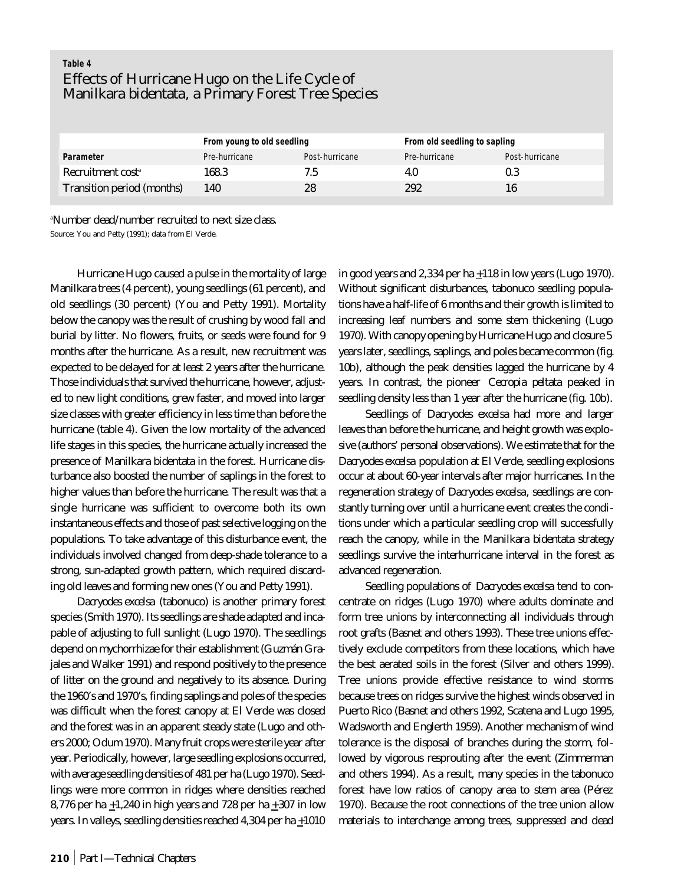# **Table 4** Effects of Hurricane Hugo on the Life Cycle of *Manilkara bidentata*, a Primary Forest Tree Species

|                                   | From young to old seedling |                | From old seedling to sapling |                |  |
|-----------------------------------|----------------------------|----------------|------------------------------|----------------|--|
| Parameter                         | Pre-hurricane              | Post-hurricane | Pre-hurricane                | Post-hurricane |  |
| Recruitment cost <sup>a</sup>     | 168.3                      | 7.5            | 4.U                          | 0.3            |  |
| <b>Transition period (months)</b> | 140                        | 28             | 292                          | 16             |  |

<sup>a</sup>Number dead/number recruited to next size class.

Source: You and Petty (1991); data from El Verde.

Hurricane Hugo caused a pulse in the mortality of large *Manilkara* trees (4 percent), young seedlings (61 percent), and old seedlings (30 percent) (You and Petty 1991). Mortality below the canopy was the result of crushing by wood fall and burial by litter. No flowers, fruits, or seeds were found for 9 months after the hurricane. As a result, new recruitment was expected to be delayed for at least 2 years after the hurricane. Those individuals that survived the hurricane, however, adjusted to new light conditions, grew faster, and moved into larger size classes with greater efficiency in less time than before the hurricane (table 4). Given the low mortality of the advanced life stages in this species, the hurricane actually increased the presence of *Manilkara bidentata* in the forest. Hurricane disturbance also boosted the number of saplings in the forest to higher values than before the hurricane. The result was that a single hurricane was sufficient to overcome both its own instantaneous effects and those of past selective logging on the populations. To take advantage of this disturbance event, the individuals involved changed from deep-shade tolerance to a strong, sun-adapted growth pattern, which required discarding old leaves and forming new ones (You and Petty 1991).

*Dacryodes excelsa* (tabonuco) is another primary forest species (Smith 1970). Its seedlings are shade adapted and incapable of adjusting to full sunlight (Lugo 1970). The seedlings depend on mychorrhizae for their establishment (Guzmán Grajales and Walker 1991) and respond positively to the presence of litter on the ground and negatively to its absence. During the 1960's and 1970's, finding saplings and poles of the species was difficult when the forest canopy at El Verde was closed and the forest was in an apparent steady state (Lugo and others 2000; Odum 1970). Many fruit crops were sterile year after year. Periodically, however, large seedling explosions occurred, with average seedling densities of 481 per ha (Lugo 1970). Seedlings were more common in ridges where densities reached 8,776 per ha  $\pm$ 1,240 in high years and 728 per ha  $\pm$ 307 in low years. In valleys, seedling densities reached  $4,304$  per ha  $+1010$ 

in good years and 2,334 per ha +118 in low years (Lugo 1970). Without significant disturbances, tabonuco seedling populations have a half-life of 6 months and their growth is limited to increasing leaf numbers and some stem thickening (Lugo 1970). With canopy opening by Hurricane Hugo and closure 5 years later, seedlings, saplings, and poles became common (fig. 10b), although the peak densities lagged the hurricane by 4 years. In contrast, the pioneer *Cecropia peltata* peaked in seedling density less than 1 year after the hurricane (fig. 10b).

Seedlings of *Dacryodes excelsa* had more and larger leaves than before the hurricane, and height growth was explosive (authors' personal observations). We estimate that for the *Dacryodes excelsa* population at El Verde, seedling explosions occur at about 60-year intervals after major hurricanes. In the regeneration strategy of *Dacryodes excelsa*, seedlings are constantly turning over until a hurricane event creates the conditions under which a particular seedling crop will successfully reach the canopy, while in the *Manilkara bidentata* strategy seedlings survive the interhurricane interval in the forest as advanced regeneration.

Seedling populations of *Dacryodes excelsa* tend to concentrate on ridges (Lugo 1970) where adults dominate and form tree unions by interconnecting all individuals through root grafts (Basnet and others 1993). These tree unions effectively exclude competitors from these locations, which have the best aerated soils in the forest (Silver and others 1999). Tree unions provide effective resistance to wind storms because trees on ridges survive the highest winds observed in Puerto Rico (Basnet and others 1992, Scatena and Lugo 1995, Wadsworth and Englerth 1959). Another mechanism of wind tolerance is the disposal of branches during the storm, followed by vigorous resprouting after the event (Zimmerman and others 1994). As a result, many species in the tabonuco forest have low ratios of canopy area to stem area (Pérez 1970). Because the root connections of the tree union allow materials to interchange among trees, suppressed and dead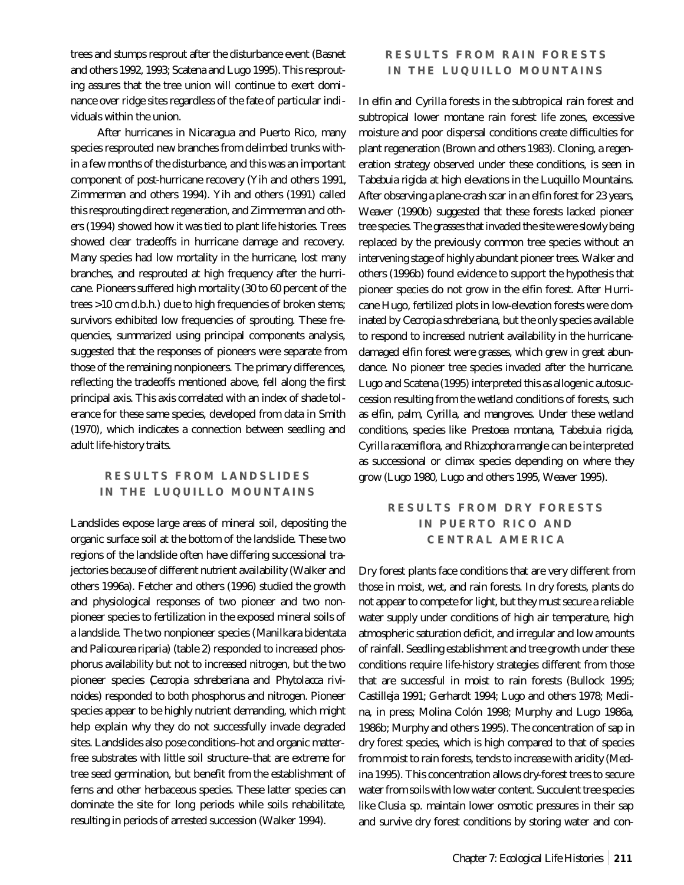trees and stumps resprout after the disturbance event (Basnet and others 1992, 1993; Scatena and Lugo 1995). This resprouting assures that the tree union will continue to exert dominance over ridge sites regardless of the fate of particular individuals within the union.

After hurricanes in Nicaragua and Puerto Rico, many species resprouted new branches from delimbed trunks within a few months of the disturbance, and this was an important component of post-hurricane recovery (Yih and others 1991, Zimmerman and others 1994). Yih and others (1991) called this resprouting direct regeneration, and Zimmerman and others (1994) showed how it was tied to plant life histories. Trees showed clear tradeoffs in hurricane damage and recovery. Many species had low mortality in the hurricane, lost many branches, and resprouted at high frequency after the hurricane. Pioneers suffered high mortality (30 to 60 percent of the trees >10 cm d.b.h.) due to high frequencies of broken stems; survivors exhibited low frequencies of sprouting. These frequencies, summarized using principal components analysis, suggested that the responses of pioneers were separate from those of the remaining nonpioneers. The primary differences, reflecting the tradeoffs mentioned above, fell along the first principal axis. This axis correlated with an index of shade tolerance for these same species, developed from data in Smith (1970), which indicates a connection between seedling and adult life-history traits.

# **RESULTS FROM LANDSLIDES IN THE LUQUILLO MOUNTAINS**

Landslides expose large areas of mineral soil, depositing the organic surface soil at the bottom of the landslide. These two regions of the landslide often have differing successional trajectories because of different nutrient availability (Walker and others 1996a). Fetcher and others (1996) studied the growth and physiological responses of two pioneer and two nonpioneer species to fertilization in the exposed mineral soils of a landslide. The two nonpioneer species (*Manilkara bidentata* and *Palicourea riparia*) (table 2) responded to increased phosphorus availability but not to increased nitrogen, but the two pioneer species (*Cecropia schreberiana* and *Phytolacca rivinoides*) responded to both phosphorus and nitrogen. Pioneer species appear to be highly nutrient demanding, which might help explain why they do not successfully invade degraded sites. Landslides also pose conditions–hot and organic matterfree substrates with little soil structure–that are extreme for tree seed germination, but benefit from the establishment of ferns and other herbaceous species. These latter species can dominate the site for long periods while soils rehabilitate, resulting in periods of arrested succession (Walker 1994).

# **RESULTS FROM RAIN FORESTS IN THE LUQUILLO MOUNTAINS**

In elfin and *Cyrilla* forests in the subtropical rain forest and subtropical lower montane rain forest life zones, excessive moisture and poor dispersal conditions create difficulties for plant regeneration (Brown and others 1983). Cloning, a regeneration strategy observed under these conditions, is seen in *Tabebuia rigida* at high elevations in the Luquillo Mountains. After observing a plane-crash scar in an elfin forest for 23 years, Weaver (1990b) suggested that these forests lacked pioneer tree species. The grasses that invaded the site were slowly being replaced by the previously common tree species without an intervening stage of highly abundant pioneer trees. Walker and others (1996b) found evidence to support the hypothesis that pioneer species do not grow in the elfin forest. After Hurricane Hugo, fertilized plots in low-elevation forests were dominated by *Cecropia schreberiana,* but the only species available to respond to increased nutrient availability in the hurricanedamaged elfin forest were grasses, which grew in great abundance. No pioneer tree species invaded after the hurricane. Lugo and Scatena (1995) interpreted this as allogenic autosuccession resulting from the wetland conditions of forests, such as elfin, palm, *Cyrilla*, and mangroves. Under these wetland conditions, species like *Prestoea montana, Tabebuia rigida, Cyrilla racemiflora,* and *Rhizophora mangle* can be interpreted as successional or climax species depending on where they grow (Lugo 1980, Lugo and others 1995, Weaver 1995).

# **RESULTS FROM DRY FORESTS IN PUERTO RICO AND CENTRAL AMERICA**

Dry forest plants face conditions that are very different from those in moist, wet, and rain forests. In dry forests, plants do not appear to compete for light, but they must secure a reliable water supply under conditions of high air temperature, high atmospheric saturation deficit, and irregular and low amounts of rainfall. Seedling establishment and tree growth under these conditions require life-history strategies different from those that are successful in moist to rain forests (Bullock 1995; Castilleja 1991; Gerhardt 1994; Lugo and others 1978; Medina, in press; Molina Colón 1998; Murphy and Lugo 1986a, 1986b; Murphy and others 1995). The concentration of sap in dry forest species, which is high compared to that of species from moist to rain forests, tends to increase with aridity (Medina 1995). This concentration allows dry-forest trees to secure water from soils with low water content. Succulent tree species like *Clusia* sp. maintain lower osmotic pressures in their sap and survive dry forest conditions by storing water and con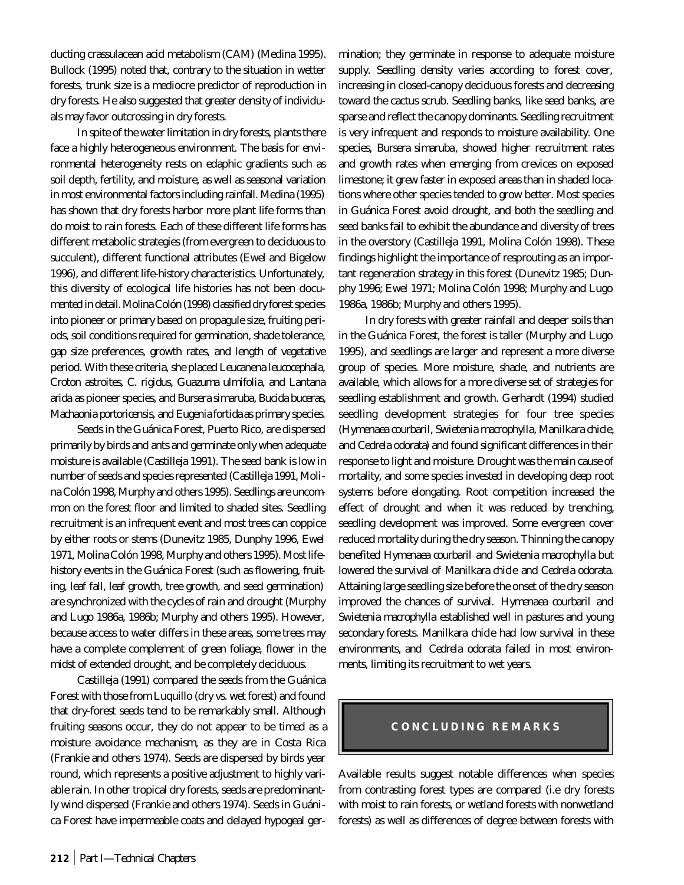ducting crassulacean acid metabolism (CAM) (Medina 1995). Bullock (1995) noted that, contrary to the situation in wetter forests, trunk size is a mediocre predictor of reproduction in dry forests. He also suggested that greater density of individuals may favor outcrossing in dry forests.

In spite of the water limitation in dry forests, plants there face a highly heterogeneous environment. The basis for environmental heterogeneity rests on edaphic gradients such as soil depth, fertility, and moisture, as well as seasonal variation in most environmental factors including rainfall. Medina (1995) has shown that dry forests harbor more plant life forms than do moist to rain forests. Each of these different life forms has different metabolic strategies (from evergreen to deciduous to succulent), different functional attributes (Ewel and Bigelow 1996), and different life-history characteristics. Unfortunately, this diversity of ecological life histories has not been documented in detail. Molina Colón (1998) classified dry forest species into pioneer or primary based on propagule size, fruiting periods, soil conditions required for germination, shade tolerance, gap size preferences, growth rates, and length of vegetative period. With these criteria, she placed *Leucanena leucocephala, Croton astroites, C. rigidus, Guazuma ulmifolia,* and *Lantana arida* as pioneer species, and *Bursera simaruba, Bucida buceras, Machaonia portoricensis,* and *Eugenia fortida* as primary species.

Seeds in the Guánica Forest, Puerto Rico, are dispersed primarily by birds and ants and germinate only when adequate moisture is available (Castilleja 1991). The seed bank is low in number of seeds and species represented (Castilleja 1991, Molina Colón 1998, Murphy and others 1995). Seedlings are uncommon on the forest floor and limited to shaded sites. Seedling recruitment is an infrequent event and most trees can coppice by either roots or stems (Dunevitz 1985, Dunphy 1996, Ewel 1971, Molina Colón 1998, Murphy and others 1995). Most lifehistory events in the Guánica Forest (such as flowering, fruiting, leaf fall, leaf growth, tree growth, and seed germination) are synchronized with the cycles of rain and drought (Murphy and Lugo 1986a, 1986b; Murphy and others 1995). However, because access to water differs in these areas, some trees may have a complete complement of green foliage, flower in the midst of extended drought, and be completely deciduous.

Castilleja (1991) compared the seeds from the Guánica Forest with those from Luquillo (dry vs. wet forest) and found that dry-forest seeds tend to be remarkably small. Although fruiting seasons occur, they do not appear to be timed as a moisture avoidance mechanism, as they are in Costa Rica (Frankie and others 1974). Seeds are dispersed by birds year round, which represents a positive adjustment to highly variable rain. In other tropical dry forests, seeds are predominantly wind dispersed (Frankie and others 1974). Seeds in Guánica Forest have impermeable coats and delayed hypogeal germination; they germinate in response to adequate moisture supply. Seedling density varies according to forest cover, increasing in closed-canopy deciduous forests and decreasing toward the cactus scrub. Seedling banks, like seed banks, are sparse and reflect the canopy dominants. Seedling recruitment is very infrequent and responds to moisture availability. One species, *Bursera simaruba*, showed higher recruitment rates and growth rates when emerging from crevices on exposed limestone; it grew faster in exposed areas than in shaded locations where other species tended to grow better. Most species in Guánica Forest avoid drought, and both the seedling and seed banks fail to exhibit the abundance and diversity of trees in the overstory (Castilleja 1991, Molina Colón 1998). These findings highlight the importance of resprouting as an important regeneration strategy in this forest (Dunevitz 1985; Dunphy 1996; Ewel 1971; Molina Colón 1998; Murphy and Lugo 1986a, 1986b; Murphy and others 1995).

In dry forests with greater rainfall and deeper soils than in the Guánica Forest, the forest is taller (Murphy and Lugo 1995), and seedlings are larger and represent a more diverse group of species. More moisture, shade, and nutrients are available, which allows for a more diverse set of strategies for seedling establishment and growth. Gerhardt (1994) studied seedling development strategies for four tree species (*Hymenaea courbaril, Swietenia macrophylla, Manilkara chicle,* and *Cedrela odorata*) and found significant differences in their response to light and moisture. Drought was the main cause of mortality, and some species invested in developing deep root systems before elongating. Root competition increased the effect of drought and when it was reduced by trenching, seedling development was improved. Some evergreen cover reduced mortality during the dry season. Thinning the canopy benefited *Hymenaea courbaril* and *Swietenia macrophylla* but lowered the survival of *Manilkara chicle* and *Cedrela odorata*. Attaining large seedling size before the onset of the dry season improved the chances of survival. *Hymenaea courbaril* and *Swietenia macrophylla* established well in pastures and young secondary forests. *Manilkara chicle* had low survival in these environments, and *Cedrela odorata* failed in most environments, limiting its recruitment to wet years.

#### **CONCLUDING REMARKS**

Available results suggest notable differences when species from contrasting forest types are compared (i.e dry forests with moist to rain forests, or wetland forests with nonwetland forests) as well as differences of degree between forests with